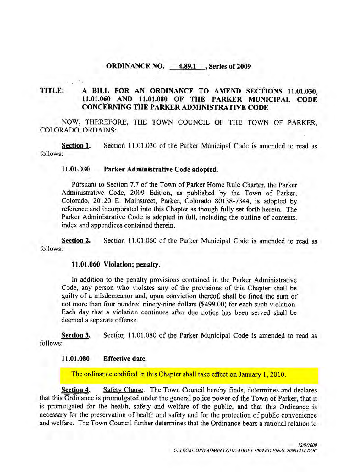#### ORDINANCE NO. 4.89.1 , Series of 2009

# TITLE: A BILL FOR AN ORDINANCE TO AMEND SECTIONS 11.01.030,<br>11.01.060 AND 11.01.080 OF THE PARKER MUNICIPAL CODE A BILL FOR AN ORDINANCE TO AMEND SECTIONS 11.01.030,<br>11.01.060 AND 11.01.080 OF THE PARKER MUNICIPAL CODE CONCERNING THE PARKERADMINISTRATIVE CODE

NOW, THEREFORE, THE TOWN COUNCIL OF THE TOWN OF PARKER. COLORADO, ORDAINS:

Section 1. Section 11.01.030 of the Parker Municipal Code is amended to read as follows

#### 11.01.030 Parker Administrative Code adopted.

Pursuant to Section 7.7 of the Town of Parker Home Rule Charter, the Parker Administrative Code, 2009 Edition, as published by the Town of Parker, Colorado, 20120 E. Mainstreet, Parker, Colorado 80138-7344, is adopted by reference and incorporated into this Chapter as though fully set forth herein. The Parker Administrative Code is adopted in full, including the outline of contents, index and appendices contained therein

Section 2. Section 11.01.060 of the Parker Municipal Code is amended to read as follows

#### 11.01.060 Violation; penalty.

In addition to the penalty provisions contained in the Parker Administrative Code, any person who violates any of the provisions of this Chapter shall be guilty of a misdemeanor and, upon conviction thereof, shall be fined the sum of not more than four hundred ninety-nine dollars (\$499.00) for each such violation. Each day that a violation continues after due notice has been served shall be deemed a separate offense

Section 3. Section 11.01.080 of the Parker Municipal Code is amended to read as follows

#### 11.01.080 Effective date.

The ordinance codified in this Chapter shall take effect on January 1, 2010.

Section 4. Safety Clause. The Town Council hereby finds, determines and declares that this Ordinance is promulgated under the general police power of the Town of Parker, that it is promulgated for the health, safety and welfare of the public, and that this Ordinance is necessary for the preservation of health and safety and for the protection of public convenience and welfare. The Town Council further determines that the Ordinance bears a rational relation to<br>
GALEGALORDMOMIN CODE-ADOPT 2009 ED FINAL 20091214.DOC Eliare of the public, and that this Ordinance is<br>fety and for the protection of public convenience<br>ines that the Ordinance bears a rational relation to<br> $12/9/2009$ <br>GNLEGALIORDMDMIN CODE-ADOPT 2009 ED FINAL 20091214.DOC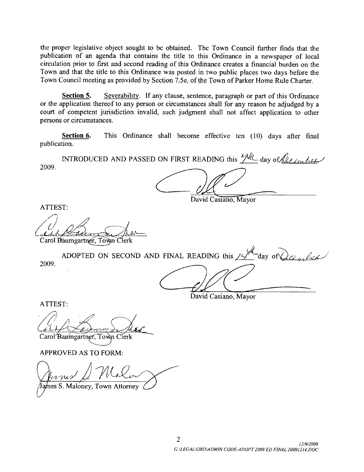the proper legislative object sought to be obtained. The Town Council further finds that the publication of an agenda that contains the title to this Ordinance in a newspaper of local circulation prior to first and second reading of this Ordinance creates a financial burden on the Town and that the title to this Ordinance was posted in two public places two days before the Town Council meeting as provided by Section 7.5e. of the Town of Parker Home Rule Charter.

Section 5. Severability. If any clause, sentence, paragraph or part of this Ordinance or the application thereof to any person or circumstances shall for any reason be adjudged by a court of competent jurisdiction invalid, such judgment shall not affect application to other persons or circumstances

Section 6. This Ordinance shall become effective ten (10) days after final publication

INTRODUCED AND PASSED ON FIRST READING this  $M\ll 1$  day of  $\llbracket \ell_{\ell,m}\rrbracket$ 2009

David Casiano, Mayor

ATTEST

TTES<br>Cald<br>carol E e

Carol Baumgartner, Town Clerk

2009 Section 6. This Ordinance shall become effective ten (10) days after final<br>
INTRODUCED AND PASSED ON FIRST READING this  $\frac{M}{M}$  day of  $\frac{M}{M}$  and  $\frac{M}{M}$ .<br>
T:<br>
T:<br>
ADOPTED ON SECOND AND FINAL READING this  $\frac{M}{M}$ 

David Casiano, Mayor

ATTEST

Carol Baumgartner, Town Clerk C

APPROVED AS TO FORM

PROVED<br>*MANIS*<br>es S. Malo

James S. Maloney, Town Attorney

2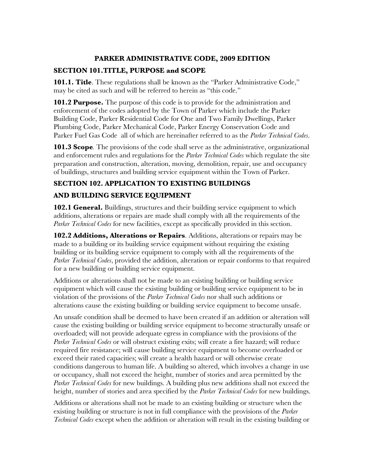#### **PARKER ADMINISTRATIVE CODE, 2009 EDITION**

#### **SECTION 101.TITLE, PURPOSE and SCOPE**

**101.1. Title**. These regulations shall be known as the "Parker Administrative Code," may be cited as such and will be referred to herein as "this code."

**101.2 Purpose.** The purpose of this code is to provide for the administration and enforcement of the codes adopted by the Town of Parker which include the Parker Building Code, Parker Residential Code for One and Two Family Dwellings, Parker Plumbing Code, Parker Mechanical Code, Parker Energy Conservation Code and Parker Fuel Gas Code all of which are hereinafter referred to as the *Parker Technical Codes*.

**101.3 Scope***.* The provisions of the code shall serve as the administrative, organizational and enforcement rules and regulations for the *Parker Technical Codes* which regulate the site preparation and construction, alteration, moving, demolition, repair, use and occupancy of buildings, structures and building service equipment within the Town of Parker.

#### **SECTION 102. APPLICATION TO EXISTING BUILDINGS AND BUILDING SERVICE EQUIPMENT**

**102.1 General.** Buildings, structures and their building service equipment to which additions, alterations or repairs are made shall comply with all the requirements of the *Parker Technical Codes* for new facilities, except as specifically provided in this section.

**102.2 Additions, Alterations or Repairs**. Additions, alterations or repairs may be made to a building or its building service equipment without requiring the existing building or its building service equipment to comply with all the requirements of the *Parker Technical Codes*, provided the addition, alteration or repair conforms to that required for a new building or building service equipment.

Additions or alterations shall not be made to an existing building or building service equipment which will cause the existing building or building service equipment to be in violation of the provisions of the *Parker Technical Codes* nor shall such additions or alterations cause the existing building or building service equipment to become unsafe.

An unsafe condition shall be deemed to have been created if an addition or alteration will cause the existing building or building service equipment to become structurally unsafe or overloaded; will not provide adequate egress in compliance with the provisions of the *Parker Technical Codes* or will obstruct existing exits; will create a fire hazard; will reduce required fire resistance; will cause building service equipment to become overloaded or exceed their rated capacities; will create a health hazard or will otherwise create conditions dangerous to human life. A building so altered, which involves a change in use or occupancy, shall not exceed the height, number of stories and area permitted by the *Parker Technical Codes* for new buildings. A building plus new additions shall not exceed the height, number of stories and area specified by the *Parker Technical Codes* for new buildings.

Additions or alterations shall not be made to an existing building or structure when the existing building or structure is not in full compliance with the provisions of the *Parker Technical Codes* except when the addition or alteration will result in the existing building or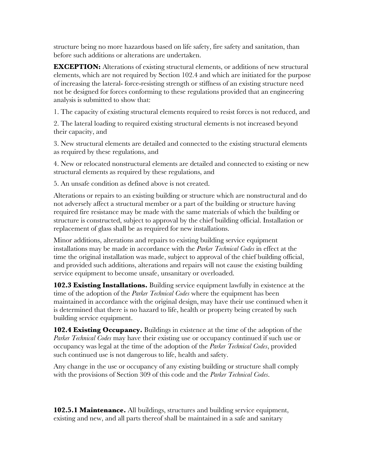structure being no more hazardous based on life safety, fire safety and sanitation, than before such additions or alterations are undertaken.

**EXCEPTION:** Alterations of existing structural elements, or additions of new structural elements, which are not required by Section 102.4 and which are initiated for the purpose of increasing the lateral- force-resisting strength or stiffness of an existing structure need not be designed for forces conforming to these regulations provided that an engineering analysis is submitted to show that:

1. The capacity of existing structural elements required to resist forces is not reduced, and

2. The lateral loading to required existing structural elements is not increased beyond their capacity, and

3. New structural elements are detailed and connected to the existing structural elements as required by these regulations, and

4. New or relocated nonstructural elements are detailed and connected to existing or new structural elements as required by these regulations, and

5. An unsafe condition as defined above is not created.

Alterations or repairs to an existing building or structure which are nonstructural and do not adversely affect a structural member or a part of the building or structure having required fire resistance may be made with the same materials of which the building or structure is constructed, subject to approval by the chief building official. Installation or replacement of glass shall be as required for new installations.

Minor additions, alterations and repairs to existing building service equipment installations may be made in accordance with the *Parker Technical Codes* in effect at the time the original installation was made, subject to approval of the chief building official, and provided such additions, alterations and repairs will not cause the existing building service equipment to become unsafe, unsanitary or overloaded.

**102.3 Existing Installations.** Building service equipment lawfully in existence at the time of the adoption of the *Parker Technical Codes* where the equipment has been maintained in accordance with the original design, may have their use continued when it is determined that there is no hazard to life, health or property being created by such building service equipment.

**102.4 Existing Occupancy.** Buildings in existence at the time of the adoption of the *Parker Technical Codes* may have their existing use or occupancy continued if such use or occupancy was legal at the time of the adoption of the *Parker Technical Codes*, provided such continued use is not dangerous to life, health and safety.

Any change in the use or occupancy of any existing building or structure shall comply with the provisions of Section 309 of this code and the *Parker Technical Codes*.

**102.5.1 Maintenance.** All buildings, structures and building service equipment, existing and new, and all parts thereof shall be maintained in a safe and sanitary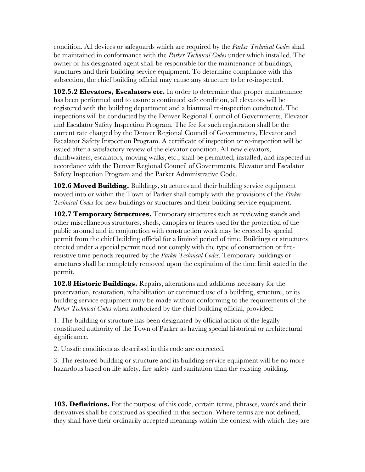condition. All devices or safeguards which are required by the *Parker Technical Codes* shall be maintained in conformance with the *Parker Technical Codes* under which installed. The owner or his designated agent shall be responsible for the maintenance of buildings, structures and their building service equipment. To determine compliance with this subsection, the chief building official may cause any structure to be re-inspected.

**102.5.2 Elevators, Escalators etc.** In order to determine that proper maintenance has been performed and to assure a continued safe condition, all elevators will be registered with the building department and a biannual re-inspection conducted. The inspections will be conducted by the Denver Regional Council of Governments, Elevator and Escalator Safety Inspection Program. The fee for such registration shall be the current rate charged by the Denver Regional Council of Governments, Elevator and Escalator Safety Inspection Program. A certificate of inspection or re-inspection will be issued after a satisfactory review of the elevator condition. All new elevators, dumbwaiters, escalators, moving walks, etc., shall be permitted, installed, and inspected in accordance with the Denver Regional Council of Governments, Elevator and Escalator Safety Inspection Program and the Parker Administrative Code.

**102.6 Moved Building.** Buildings, structures and their building service equipment moved into or within the Town of Parker shall comply with the provisions of the *Parker Technical Codes* for new buildings or structures and their building service equipment.

**102.7 Temporary Structures.** Temporary structures such as reviewing stands and other miscellaneous structures, sheds, canopies or fences used for the protection of the public around and in conjunction with construction work may be erected by special permit from the chief building official for a limited period of time. Buildings or structures erected under a special permit need not comply with the type of construction or fireresistive time periods required by the *Parker Technical Codes*. Temporary buildings or structures shall be completely removed upon the expiration of the time limit stated in the permit.

**102.8 Historic Buildings.** Repairs, alterations and additions necessary for the preservation, restoration, rehabilitation or continued use of a building, structure, or its building service equipment may be made without conforming to the requirements of the *Parker Technical Codes* when authorized by the chief building official, provided:

1. The building or structure has been designated by official action of the legally constituted authority of the Town of Parker as having special historical or architectural significance.

2. Unsafe conditions as described in this code are corrected.

3. The restored building or structure and its building service equipment will be no more hazardous based on life safety, fire safety and sanitation than the existing building.

**103. Definitions.** For the purpose of this code, certain terms, phrases, words and their derivatives shall be construed as specified in this section. Where terms are not defined, they shall have their ordinarily accepted meanings within the context with which they are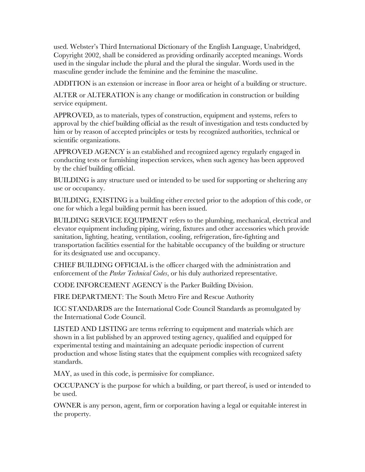used. Webster's Third International Dictionary of the English Language, Unabridged, Copyright 2002, shall be considered as providing ordinarily accepted meanings. Words used in the singular include the plural and the plural the singular. Words used in the masculine gender include the feminine and the feminine the masculine.

ADDITION is an extension or increase in floor area or height of a building or structure.

ALTER or ALTERATION is any change or modification in construction or building service equipment.

APPROVED, as to materials, types of construction, equipment and systems, refers to approval by the chief building official as the result of investigation and tests conducted by him or by reason of accepted principles or tests by recognized authorities, technical or scientific organizations.

APPROVED AGENCY is an established and recognized agency regularly engaged in conducting tests or furnishing inspection services, when such agency has been approved by the chief building official.

BUILDING is any structure used or intended to be used for supporting or sheltering any use or occupancy.

BUILDING, EXISTING is a building either erected prior to the adoption of this code, or one for which a legal building permit has been issued.

BUILDING SERVICE EQUIPMENT refers to the plumbing, mechanical, electrical and elevator equipment including piping, wiring, fixtures and other accessories which provide sanitation, lighting, heating, ventilation, cooling, refrigeration, fire-fighting and transportation facilities essential for the habitable occupancy of the building or structure for its designated use and occupancy.

CHIEF BUILDING OFFICIAL is the officer charged with the administration and enforcement of the *Parker Technical Codes*, or his duly authorized representative.

CODE INFORCEMENT AGENCY is the Parker Building Division.

FIRE DEPARTMENT: The South Metro Fire and Rescue Authority

ICC STANDARDS are the International Code Council Standards as promulgated by the International Code Council.

LISTED AND LISTING are terms referring to equipment and materials which are shown in a list published by an approved testing agency, qualified and equipped for experimental testing and maintaining an adequate periodic inspection of current production and whose listing states that the equipment complies with recognized safety standards.

MAY, as used in this code, is permissive for compliance.

OCCUPANCY is the purpose for which a building, or part thereof, is used or intended to be used.

OWNER is any person, agent, firm or corporation having a legal or equitable interest in the property.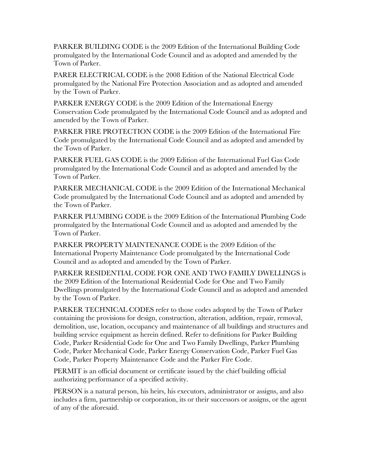PARKER BUILDING CODE is the 2009 Edition of the International Building Code promulgated by the International Code Council and as adopted and amended by the Town of Parker.

PARER ELECTRICAL CODE is the 2008 Edition of the National Electrical Code promulgated by the National Fire Protection Association and as adopted and amended by the Town of Parker.

PARKER ENERGY CODE is the 2009 Edition of the International Energy Conservation Code promulgated by the International Code Council and as adopted and amended by the Town of Parker.

PARKER FIRE PROTECTION CODE is the 2009 Edition of the International Fire Code promulgated by the International Code Council and as adopted and amended by the Town of Parker.

PARKER FUEL GAS CODE is the 2009 Edition of the International Fuel Gas Code promulgated by the International Code Council and as adopted and amended by the Town of Parker.

PARKER MECHANICAL CODE is the 2009 Edition of the International Mechanical Code promulgated by the International Code Council and as adopted and amended by the Town of Parker.

PARKER PLUMBING CODE is the 2009 Edition of the International Plumbing Code promulgated by the International Code Council and as adopted and amended by the Town of Parker.

PARKER PROPERTY MAINTENANCE CODE is the 2009 Edition of the International Property Maintenance Code promulgated by the International Code Council and as adopted and amended by the Town of Parker.

PARKER RESIDENTIAL CODE FOR ONE AND TWO FAMILY DWELLINGS is the 2009 Edition of the International Residential Code for One and Two Family Dwellings promulgated by the International Code Council and as adopted and amended by the Town of Parker.

PARKER TECHNICAL CODES refer to those codes adopted by the Town of Parker containing the provisions for design, construction, alteration, addition, repair, removal, demolition, use, location, occupancy and maintenance of all buildings and structures and building service equipment as herein defined. Refer to definitions for Parker Building Code, Parker Residential Code for One and Two Family Dwellings, Parker Plumbing Code, Parker Mechanical Code, Parker Energy Conservation Code, Parker Fuel Gas Code, Parker Property Maintenance Code and the Parker Fire Code.

PERMIT is an official document or certificate issued by the chief building official authorizing performance of a specified activity.

PERSON is a natural person, his heirs, his executors, administrator or assigns, and also includes a firm, partnership or corporation, its or their successors or assigns, or the agent of any of the aforesaid.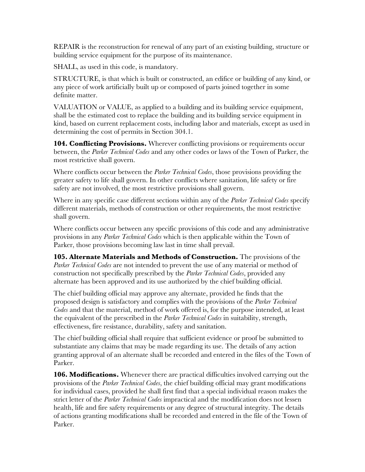REPAIR is the reconstruction for renewal of any part of an existing building, structure or building service equipment for the purpose of its maintenance.

SHALL, as used in this code, is mandatory.

STRUCTURE, is that which is built or constructed, an edifice or building of any kind, or any piece of work artificially built up or composed of parts joined together in some definite matter.

VALUATION or VALUE, as applied to a building and its building service equipment, shall be the estimated cost to replace the building and its building service equipment in kind, based on current replacement costs, including labor and materials, except as used in determining the cost of permits in Section 304.1.

**104. Conflicting Provisions.** Wherever conflicting provisions or requirements occur between, the *Parker Technical Codes* and any other codes or laws of the Town of Parker, the most restrictive shall govern.

Where conflicts occur between the *Parker Technical Codes*, those provisions providing the greater safety to life shall govern. In other conflicts where sanitation, life safety or fire safety are not involved, the most restrictive provisions shall govern.

Where in any specific case different sections within any of the *Parker Technical Codes* specify different materials, methods of construction or other requirements, the most restrictive shall govern.

Where conflicts occur between any specific provisions of this code and any administrative provisions in any *Parker Technical Codes* which is then applicable within the Town of Parker, those provisions becoming law last in time shall prevail.

**105. Alternate Materials and Methods of Construction.** The provisions of the *Parker Technical Codes* are not intended to prevent the use of any material or method of construction not specifically prescribed by the *Parker Technical Codes*, provided any alternate has been approved and its use authorized by the chief building official.

The chief building official may approve any alternate, provided he finds that the proposed design is satisfactory and complies with the provisions of the *Parker Technical Codes* and that the material, method of work offered is, for the purpose intended, at least the equivalent of the prescribed in the *Parker Technical Codes* in suitability, strength, effectiveness, fire resistance, durability, safety and sanitation.

The chief building official shall require that sufficient evidence or proof be submitted to substantiate any claims that may be made regarding its use. The details of any action granting approval of an alternate shall be recorded and entered in the files of the Town of Parker.

**106. Modifications.** Whenever there are practical difficulties involved carrying out the provisions of the *Parker Technical Codes*, the chief building official may grant modifications for individual cases, provided he shall first find that a special individual reason makes the strict letter of the *Parker Technical Codes* impractical and the modification does not lessen health, life and fire safety requirements or any degree of structural integrity. The details of actions granting modifications shall be recorded and entered in the file of the Town of Parker.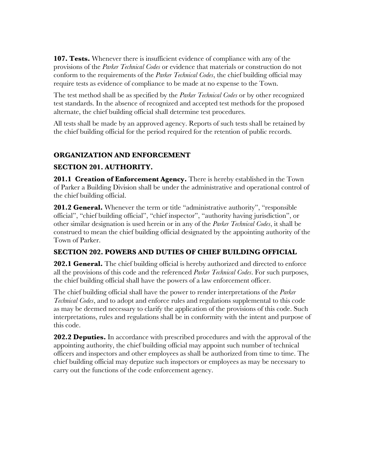**107. Tests.** Whenever there is insufficient evidence of compliance with any of the provisions of the *Parker Technical Codes* or evidence that materials or construction do not conform to the requirements of the *Parker Technical Codes*, the chief building official may require tests as evidence of compliance to be made at no expense to the Town.

The test method shall be as specified by the *Parker Technical Codes* or by other recognized test standards. In the absence of recognized and accepted test methods for the proposed alternate, the chief building official shall determine test procedures.

All tests shall be made by an approved agency. Reports of such tests shall be retained by the chief building official for the period required for the retention of public records.

#### **ORGANIZATION AND ENFORCEMENT**

#### **SECTION 201. AUTHORITY.**

**201.1 Creation of Enforcement Agency.** There is hereby established in the Town of Parker a Building Division shall be under the administrative and operational control of the chief building official.

**201.2 General.** Whenever the term or title "administrative authority", "responsible official", "chief building official", "chief inspector", "authority having jurisdiction", or other similar designation is used herein or in any of the *Parker Technical Codes*, it shall be construed to mean the chief building official designated by the appointing authority of the Town of Parker.

#### **SECTION 202. POWERS AND DUTIES OF CHIEF BUILDING OFFICIAL**

**202.1 General.** The chief building official is hereby authorized and directed to enforce all the provisions of this code and the referenced *Parker Technical Codes*. For such purposes, the chief building official shall have the powers of a law enforcement officer.

The chief building official shall have the power to render interpretations of the *Parker Technical Codes*, and to adopt and enforce rules and regulations supplemental to this code as may be deemed necessary to clarify the application of the provisions of this code. Such interpretations, rules and regulations shall be in conformity with the intent and purpose of this code.

**202.2 Deputies.** In accordance with prescribed procedures and with the approval of the appointing authority, the chief building official may appoint such number of technical officers and inspectors and other employees as shall be authorized from time to time. The chief building official may deputize such inspectors or employees as may be necessary to carry out the functions of the code enforcement agency.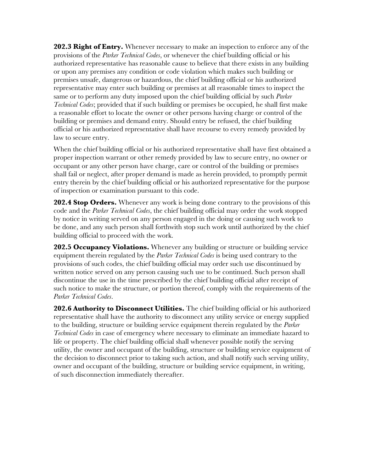**202.3 Right of Entry.** Whenever necessary to make an inspection to enforce any of the provisions of the *Parker Technical Codes*, or whenever the chief building official or his authorized representative has reasonable cause to believe that there exists in any building or upon any premises any condition or code violation which makes such building or premises unsafe, dangerous or hazardous, the chief building official or his authorized representative may enter such building or premises at all reasonable times to inspect the same or to perform any duty imposed upon the chief building official by such *Parker Technical Codes*; provided that if such building or premises be occupied, he shall first make a reasonable effort to locate the owner or other persons having charge or control of the building or premises and demand entry. Should entry be refused, the chief building official or his authorized representative shall have recourse to every remedy provided by law to secure entry.

When the chief building official or his authorized representative shall have first obtained a proper inspection warrant or other remedy provided by law to secure entry, no owner or occupant or any other person have charge, care or control of the building or premises shall fail or neglect, after proper demand is made as herein provided, to promptly permit entry therein by the chief building official or his authorized representative for the purpose of inspection or examination pursuant to this code.

**202.4 Stop Orders.** Whenever any work is being done contrary to the provisions of this code and the *Parker Technical Codes*, the chief building official may order the work stopped by notice in writing served on any person engaged in the doing or causing such work to be done, and any such person shall forthwith stop such work until authorized by the chief building official to proceed with the work.

**202.5 Occupancy Violations.** Whenever any building or structure or building service equipment therein regulated by the *Parker Technical Codes* is being used contrary to the provisions of such codes, the chief building official may order such use discontinued by written notice served on any person causing such use to be continued. Such person shall discontinue the use in the time prescribed by the chief building official after receipt of such notice to make the structure, or portion thereof, comply with the requirements of the *Parker Technical Codes*.

**202.6 Authority to Disconnect Utilities.** The chief building official or his authorized representative shall have the authority to disconnect any utility service or energy supplied to the building, structure or building service equipment therein regulated by the *Parker Technical Codes* in case of emergency where necessary to eliminate an immediate hazard to life or property. The chief building official shall whenever possible notify the serving utility, the owner and occupant of the building, structure or building service equipment of the decision to disconnect prior to taking such action, and shall notify such serving utility, owner and occupant of the building, structure or building service equipment, in writing, of such disconnection immediately thereafter.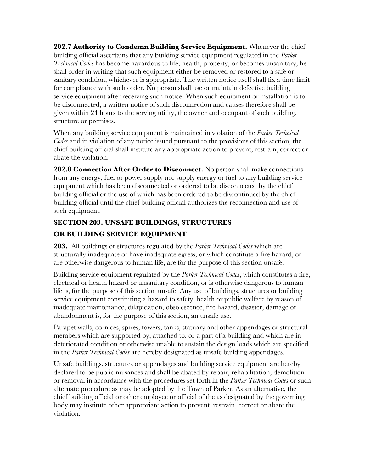**202.7 Authority to Condemn Building Service Equipment.** Whenever the chief building official ascertains that any building service equipment regulated in the *Parker Technical Codes* has become hazardous to life, health, property, or becomes unsanitary, he shall order in writing that such equipment either be removed or restored to a safe or sanitary condition, whichever is appropriate. The written notice itself shall fix a time limit for compliance with such order. No person shall use or maintain defective building service equipment after receiving such notice. When such equipment or installation is to be disconnected, a written notice of such disconnection and causes therefore shall be given within 24 hours to the serving utility, the owner and occupant of such building, structure or premises.

When any building service equipment is maintained in violation of the *Parker Technical Codes* and in violation of any notice issued pursuant to the provisions of this section, the chief building official shall institute any appropriate action to prevent, restrain, correct or abate the violation.

**202.8 Connection After Order to Disconnect.** No person shall make connections from any energy, fuel or power supply nor supply energy or fuel to any building service equipment which has been disconnected or ordered to be disconnected by the chief building official or the use of which has been ordered to be discontinued by the chief building official until the chief building official authorizes the reconnection and use of such equipment.

#### **SECTION 203. UNSAFE BUILDINGS, STRUCTURES**

#### **OR BUILDING SERVICE EQUIPMENT**

**203.** All buildings or structures regulated by the *Parker Technical Codes* which are structurally inadequate or have inadequate egress, or which constitute a fire hazard, or are otherwise dangerous to human life, are for the purpose of this section unsafe.

Building service equipment regulated by the *Parker Technical Codes*, which constitutes a fire, electrical or health hazard or unsanitary condition, or is otherwise dangerous to human life is, for the purpose of this section unsafe. Any use of buildings, structures or building service equipment constituting a hazard to safety, health or public welfare by reason of inadequate maintenance, dilapidation, obsolescence, fire hazard, disaster, damage or abandonment is, for the purpose of this section, an unsafe use.

Parapet walls, cornices, spires, towers, tanks, statuary and other appendages or structural members which are supported by, attached to, or a part of a building and which are in deteriorated condition or otherwise unable to sustain the design loads which are specified in the *Parker Technical Codes* are hereby designated as unsafe building appendages.

Unsafe buildings, structures or appendages and building service equipment are hereby declared to be public nuisances and shall be abated by repair, rehabilitation, demolition or removal in accordance with the procedures set forth in the *Parker Technical Codes* or such alternate procedure as may be adopted by the Town of Parker. As an alternative, the chief building official or other employee or official of the as designated by the governing body may institute other appropriate action to prevent, restrain, correct or abate the violation.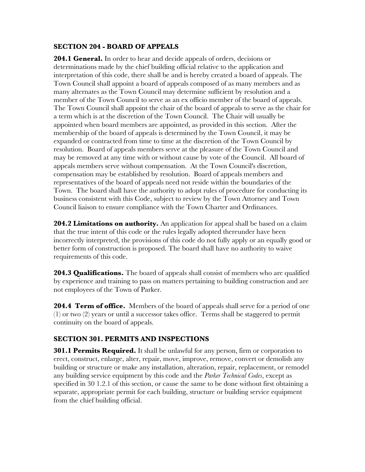#### **SECTION 204 - BOARD OF APPEALS**

**204.1 General.** In order to hear and decide appeals of orders, decisions or determinations made by the chief building official relative to the application and interpretation of this code, there shall be and is hereby created a board of appeals. The Town Council shall appoint a board of appeals composed of as many members and as many alternates as the Town Council may determine sufficient by resolution and a member of the Town Council to serve as an ex officio member of the board of appeals. The Town Council shall appoint the chair of the board of appeals to serve as the chair for a term which is at the discretion of the Town Council. The Chair will usually be appointed when board members are appointed, as provided in this section. After the membership of the board of appeals is determined by the Town Council, it may be expanded or contracted from time to time at the discretion of the Town Council by resolution. Board of appeals members serve at the pleasure of the Town Council and may be removed at any time with or without cause by vote of the Council. All board of appeals members serve without compensation. At the Town Council's discretion, compensation may be established by resolution. Board of appeals members and representatives of the board of appeals need not reside within the boundaries of the Town. The board shall have the authority to adopt rules of procedure for conducting its business consistent with this Code, subject to review by the Town Attorney and Town Council liaison to ensure compliance with the Town Charter and Ordinances.

**204.2 Limitations on authority.** An application for appeal shall be based on a claim that the true intent of this code or the rules legally adopted thereunder have been incorrectly interpreted, the provisions of this code do not fully apply or an equally good or better form of construction is proposed. The board shall have no authority to waive requirements of this code.

**204.3 Qualifications.** The board of appeals shall consist of members who are qualified by experience and training to pass on matters pertaining to building construction and are not employees of the Town of Parker.

**204.4 Term of office.** Members of the board of appeals shall serve for a period of one (1) or two (2) years or until a successor takes office. Terms shall be staggered to permit continuity on the board of appeals.

#### **SECTION 301. PERMITS AND INSPECTIONS**

**301.1 Permits Required.** It shall be unlawful for any person, firm or corporation to erect, construct, enlarge, alter, repair, move, improve, remove, convert or demolish any building or structure or make any installation, alteration, repair, replacement, or remodel any building service equipment by this code and the *Parker Technical Codes*, except as specified in 30 1.2.1 of this section, or cause the same to be done without first obtaining a separate, appropriate permit for each building, structure or building service equipment from the chief building official.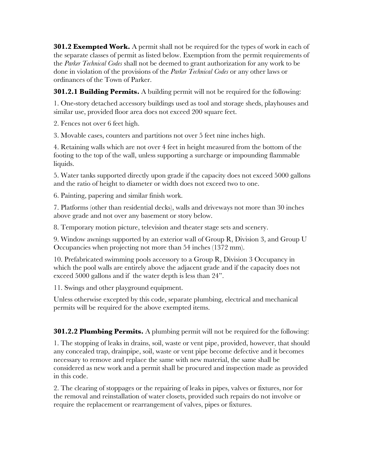**301.2 Exempted Work.** A permit shall not be required for the types of work in each of the separate classes of permit as listed below. Exemption from the permit requirements of the *Parker Technical Codes* shall not be deemed to grant authorization for any work to be done in violation of the provisions of the *Parker Technical Codes* or any other laws or ordinances of the Town of Parker.

**301.2.1 Building Permits.** A building permit will not be required for the following:

1. One-story detached accessory buildings used as tool and storage sheds, playhouses and similar use, provided floor area does not exceed 200 square feet.

2. Fences not over 6 feet high.

3. Movable cases, counters and partitions not over 5 feet nine inches high.

4. Retaining walls which are not over 4 feet in height measured from the bottom of the footing to the top of the wall, unless supporting a surcharge or impounding flammable liquids.

5. Water tanks supported directly upon grade if the capacity does not exceed 5000 gallons and the ratio of height to diameter or width does not exceed two to one.

6. Painting, papering and similar finish work.

7. Platforms (other than residential decks), walls and driveways not more than 30 inches above grade and not over any basement or story below.

8. Temporary motion picture, television and theater stage sets and scenery.

9. Window awnings supported by an exterior wall of Group R, Division 3, and Group U Occupancies when projecting not more than 54 inches (1372 mm).

10. Prefabricated swimming pools accessory to a Group R, Division 3 Occupancy in which the pool walls are entirely above the adjacent grade and if the capacity does not exceed 5000 gallons and if the water depth is less than 24".

11. Swings and other playground equipment.

Unless otherwise excepted by this code, separate plumbing, electrical and mechanical permits will be required for the above exempted items.

**301.2.2 Plumbing Permits.** A plumbing permit will not be required for the following:

1. The stopping of leaks in drains, soil, waste or vent pipe, provided, however, that should any concealed trap, drainpipe, soil, waste or vent pipe become defective and it becomes necessary to remove and replace the same with new material, the same shall be considered as new work and a permit shall be procured and inspection made as provided in this code.

2. The clearing of stoppages or the repairing of leaks in pipes, valves or fixtures, nor for the removal and reinstallation of water closets, provided such repairs do not involve or require the replacement or rearrangement of valves, pipes or fixtures.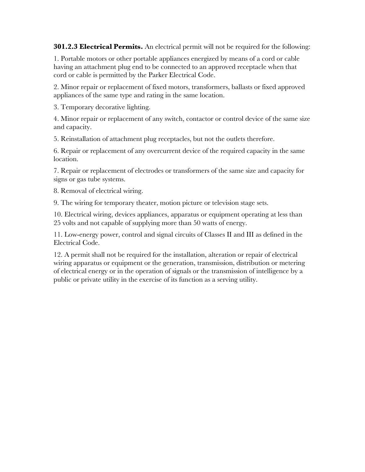**301.2.3 Electrical Permits.** An electrical permit will not be required for the following:

1. Portable motors or other portable appliances energized by means of a cord or cable having an attachment plug end to be connected to an approved receptacle when that cord or cable is permitted by the Parker Electrical Code.

2. Minor repair or replacement of fixed motors, transformers, ballasts or fixed approved appliances of the same type and rating in the same location.

3. Temporary decorative lighting.

4. Minor repair or replacement of any switch, contactor or control device of the same size and capacity.

5. Reinstallation of attachment plug receptacles, but not the outlets therefore.

6. Repair or replacement of any overcurrent device of the required capacity in the same location.

7. Repair or replacement of electrodes or transformers of the same size and capacity for signs or gas tube systems.

8. Removal of electrical wiring.

9. The wiring for temporary theater, motion picture or television stage sets.

10. Electrical wiring, devices appliances, apparatus or equipment operating at less than 25 volts and not capable of supplying more than 50 watts of energy.

11. Low-energy power, control and signal circuits of Classes II and III as defined in the Electrical Code.

12. A permit shall not be required for the installation, alteration or repair of electrical wiring apparatus or equipment or the generation, transmission, distribution or metering of electrical energy or in the operation of signals or the transmission of intelligence by a public or private utility in the exercise of its function as a serving utility.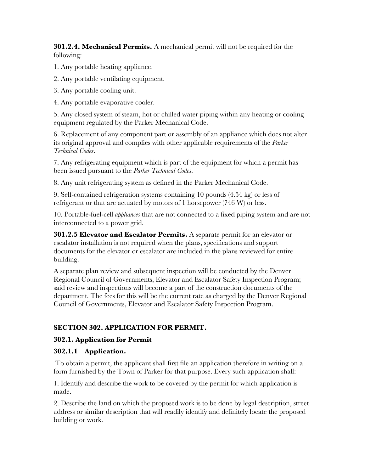**301.2.4. Mechanical Permits.** A mechanical permit will not be required for the following:

1. Any portable heating appliance.

2. Any portable ventilating equipment.

3. Any portable cooling unit.

4. Any portable evaporative cooler.

5. Any closed system of steam, hot or chilled water piping within any heating or cooling equipment regulated by the Parker Mechanical Code.

6. Replacement of any component part or assembly of an appliance which does not alter its original approval and complies with other applicable requirements of the *Parker Technical Codes*.

7. Any refrigerating equipment which is part of the equipment for which a permit has been issued pursuant to the *Parker Technical Codes*.

8. Any unit refrigerating system as defined in the Parker Mechanical Code.

9. Self-contained refrigeration systems containing 10 pounds (4.54 kg) or less of refrigerant or that are actuated by motors of 1 horsepower (746 W) or less.

10. Portable-fuel-cell *appliances* that are not connected to a fixed piping system and are not interconnected to a power grid.

**301.2.5 Elevator and Escalator Permits.** A separate permit for an elevator or escalator installation is not required when the plans, specifications and support documents for the elevator or escalator are included in the plans reviewed for entire building.

A separate plan review and subsequent inspection will be conducted by the Denver Regional Council of Governments, Elevator and Escalator Safety Inspection Program; said review and inspections will become a part of the construction documents of the department. The fees for this will be the current rate as charged by the Denver Regional Council of Governments, Elevator and Escalator Safety Inspection Program.

#### **SECTION 302. APPLICATION FOR PERMIT.**

#### **302.1. Application for Permit**

#### **302.1.1 Application.**

 To obtain a permit, the applicant shall first file an application therefore in writing on a form furnished by the Town of Parker for that purpose. Every such application shall:

1. Identify and describe the work to be covered by the permit for which application is made.

2. Describe the land on which the proposed work is to be done by legal description, street address or similar description that will readily identify and definitely locate the proposed building or work.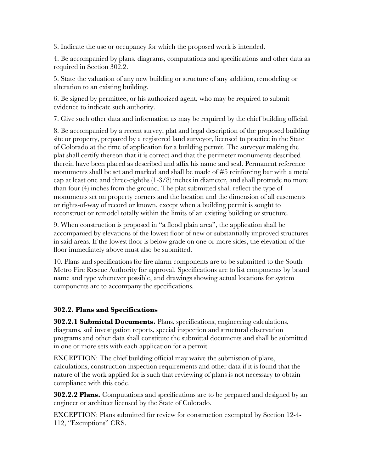3. Indicate the use or occupancy for which the proposed work is intended.

4. Be accompanied by plans, diagrams, computations and specifications and other data as required in Section 302.2.

5. State the valuation of any new building or structure of any addition, remodeling or alteration to an existing building.

6. Be signed by permittee, or his authorized agent, who may be required to submit evidence to indicate such authority.

7. Give such other data and information as may be required by the chief building official.

8. Be accompanied by a recent survey, plat and legal description of the proposed building site or property, prepared by a registered land surveyor, licensed to practice in the State of Colorado at the time of application for a building permit. The surveyor making the plat shall certify thereon that it is correct and that the perimeter monuments described therein have been placed as described and affix his name and seal. Permanent reference monuments shall be set and marked and shall be made of #5 reinforcing bar with a metal cap at least one and three-eighths (1-3/8) inches in diameter, and shall protrude no more than four (4) inches from the ground. The plat submitted shall reflect the type of monuments set on property corners and the location and the dimension of all easements or rights-of-way of record or known, except when a building permit is sought to reconstruct or remodel totally within the limits of an existing building or structure.

9. When construction is proposed in "a flood plain area", the application shall be accompanied by elevations of the lowest floor of new or substantially improved structures in said areas. If the lowest floor is below grade on one or more sides, the elevation of the floor immediately above must also be submitted.

10. Plans and specifications for fire alarm components are to be submitted to the South Metro Fire Rescue Authority for approval. Specifications are to list components by brand name and type whenever possible, and drawings showing actual locations for system components are to accompany the specifications.

#### **302.2. Plans and Specifications**

**302.2.1 Submittal Documents.** Plans, specifications, engineering calculations, diagrams, soil investigation reports, special inspection and structural observation programs and other data shall constitute the submittal documents and shall be submitted in one or more sets with each application for a permit.

EXCEPTION: The chief building official may waive the submission of plans, calculations, construction inspection requirements and other data if it is found that the nature of the work applied for is such that reviewing of plans is not necessary to obtain compliance with this code.

**302.2.2 Plans.** Computations and specifications are to be prepared and designed by an engineer or architect licensed by the State of Colorado.

EXCEPTION: Plans submitted for review for construction exempted by Section 12-4- 112, "Exemptions" CRS.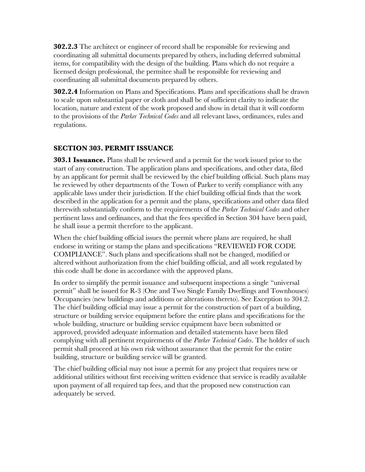**302.2.3** The architect or engineer of record shall be responsible for reviewing and coordinating all submittal documents prepared by others, including deferred submittal items, for compatibility with the design of the building. Plans which do not require a licensed design professional, the permitee shall be responsible for reviewing and coordinating all submittal documents prepared by others.

**302.2.4** Information on Plans and Specifications. Plans and specifications shall be drawn to scale upon substantial paper or cloth and shall be of sufficient clarity to indicate the location, nature and extent of the work proposed and show in detail that it will conform to the provisions of the *Parker Technical Codes* and all relevant laws, ordinances, rules and regulations.

#### **SECTION 303. PERMIT ISSUANCE**

**303.1 Issuance.** Plans shall be reviewed and a permit for the work issued prior to the start of any construction. The application plans and specifications, and other data, filed by an applicant for permit shall be reviewed by the chief building official. Such plans may be reviewed by other departments of the Town of Parker to verify compliance with any applicable laws under their jurisdiction. If the chief building official finds that the work described in the application for a permit and the plans, specifications and other data filed therewith substantially conform to the requirements of the *Parker Technical Codes* and other pertinent laws and ordinances, and that the fees specified in Section 304 have been paid, he shall issue a permit therefore to the applicant.

When the chief building official issues the permit where plans are required, he shall endorse in writing or stamp the plans and specifications "REVIEWED FOR CODE COMPLIANCE". Such plans and specifications shall not be changed, modified or altered without authorization from the chief building official, and all work regulated by this code shall be done in accordance with the approved plans.

In order to simplify the permit issuance and subsequent inspections a single "universal permit" shall be issued for R-3 (One and Two Single Family Dwellings and Townhouses) Occupancies (new buildings and additions or alterations thereto). See Exception to 304.2. The chief building official may issue a permit for the construction of part of a building, structure or building service equipment before the entire plans and specifications for the whole building, structure or building service equipment have been submitted or approved, provided adequate information and detailed statements have been filed complying with all pertinent requirements of the *Parker Technical Codes*. The holder of such permit shall proceed at his own risk without assurance that the permit for the entire building, structure or building service will be granted.

The chief building official may not issue a permit for any project that requires new or additional utilities without first receiving written evidence that service is readily available upon payment of all required tap fees, and that the proposed new construction can adequately be served.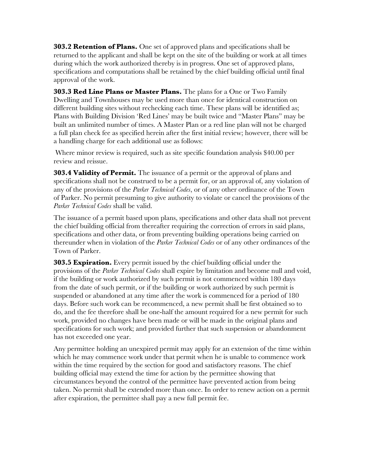**303.2 Retention of Plans.** One set of approved plans and specifications shall be returned to the applicant and shall be kept on the site of the building or work at all times during which the work authorized thereby is in progress. One set of approved plans, specifications and computations shall be retained by the chief building official until final approval of the work.

**303.3 Red Line Plans or Master Plans.** The plans for a One or Two Family Dwelling and Townhouses may be used more than once for identical construction on different building sites without rechecking each time. These plans will be identified as; Plans with Building Division 'Red Lines' may be built twice and "Master Plans" may be built an unlimited number of times. A Master Plan or a red line plan will not be charged a full plan check fee as specified herein after the first initial review; however, there will be a handling charge for each additional use as follows:

 Where minor review is required, such as site specific foundation analysis \$40.00 per review and reissue.

**303.4 Validity of Permit.** The issuance of a permit or the approval of plans and specifications shall not be construed to be a permit for, or an approval of, any violation of any of the provisions of the *Parker Technical Codes*, or of any other ordinance of the Town of Parker. No permit presuming to give authority to violate or cancel the provisions of the *Parker Technical Codes* shall be valid.

The issuance of a permit based upon plans, specifications and other data shall not prevent the chief building official from thereafter requiring the correction of errors in said plans, specifications and other data, or from preventing building operations being carried on thereunder when in violation of the *Parker Technical Codes* or of any other ordinances of the Town of Parker.

**303.5 Expiration.** Every permit issued by the chief building official under the provisions of the *Parker Technical Codes* shall expire by limitation and become null and void, if the building or work authorized by such permit is not commenced within 180 days from the date of such permit, or if the building or work authorized by such permit is suspended or abandoned at any time after the work is commenced for a period of 180 days. Before such work can be recommenced, a new permit shall be first obtained so to do, and the fee therefore shall be one-half the amount required for a new permit for such work, provided no changes have been made or will be made in the original plans and specifications for such work; and provided further that such suspension or abandonment has not exceeded one year.

Any permittee holding an unexpired permit may apply for an extension of the time within which he may commence work under that permit when he is unable to commence work within the time required by the section for good and satisfactory reasons. The chief building official may extend the time for action by the permittee showing that circumstances beyond the control of the permittee have prevented action from being taken. No permit shall be extended more than once. In order to renew action on a permit after expiration, the permittee shall pay a new full permit fee.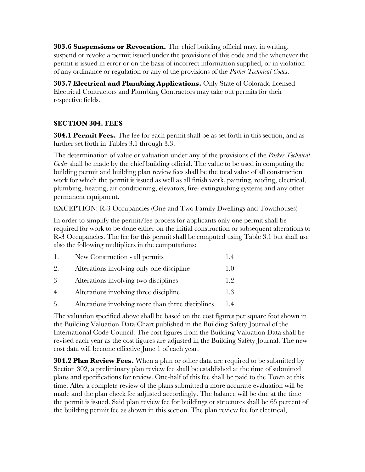**303.6 Suspensions or Revocation.** The chief building official may, in writing, suspend or revoke a permit issued under the provisions of this code and the whenever the permit is issued in error or on the basis of incorrect information supplied, or in violation of any ordinance or regulation or any of the provisions of the *Parker Technical Codes*.

**303.7 Electrical and Plumbing Applications.** Only State of Colorado licensed Electrical Contractors and Plumbing Contractors may take out permits for their respective fields.

#### **SECTION 304. FEES**

**304.1 Permit Fees.** The fee for each permit shall be as set forth in this section, and as further set forth in Tables 3.1 through 3.3.

The determination of value or valuation under any of the provisions of the *Parker Technical Codes* shall be made by the chief building official. The value to be used in computing the building permit and building plan review fees shall be the total value of all construction work for which the permit is issued as well as all finish work, painting, roofing, electrical, plumbing, heating, air conditioning, elevators, fire- extinguishing systems and any other permanent equipment.

EXCEPTION: R-3 Occupancies (One and Two Family Dwellings and Townhouses)

In order to simplify the permit/fee process for applicants only one permit shall be required for work to be done either on the initial construction or subsequent alterations to R-3 Occupancies. The fee for this permit shall be computed using Table 3.1 but shall use also the following multipliers in the computations:

| $\perp$ .        | New Construction - all permits            | 14            |
|------------------|-------------------------------------------|---------------|
| 2.               | Alterations involving only one discipline | $\pm 0$       |
| 3                | Alterations involving two disciplines     | $1.9^{\circ}$ |
| $\overline{4}$ . | Alterations involving three discipline    | 13            |

5. Alterations involving more than three disciplines 1.4

The valuation specified above shall be based on the cost figures per square foot shown in the Building Valuation Data Chart published in the Building Safety Journal of the International Code Council. The cost figures from the Building Valuation Data shall be revised each year as the cost figures are adjusted in the Building Safety Journal. The new cost data will become effective June 1 of each year.

**304.2 Plan Review Fees.** When a plan or other data are required to be submitted by Section 302, a preliminary plan review fee shall be established at the time of submitted plans and specifications for review. One-half of this fee shall be paid to the Town at this time. After a complete review of the plans submitted a more accurate evaluation will be made and the plan check fee adjusted accordingly. The balance will be due at the time the permit is issued. Said plan review fee for buildings or structures shall be 65 percent of the building permit fee as shown in this section. The plan review fee for electrical,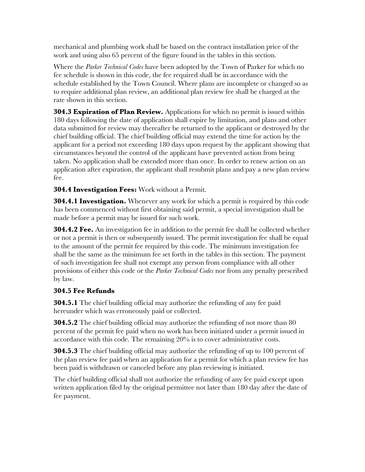mechanical and plumbing work shall be based on the contract installation price of the work and using also 65 percent of the figure found in the tables in this section.

Where the *Parker Technical Codes* have been adopted by the Town of Parker for which no fee schedule is shown in this code, the fee required shall be in accordance with the schedule established by the Town Council. Where plans are incomplete or changed so as to require additional plan review, an additional plan review fee shall be charged at the rate shown in this section.

**304.3 Expiration of Plan Review.** Applications for which no permit is issued within 180 days following the date of application shall expire by limitation, and plans and other data submitted for review may thereafter be returned to the applicant or destroyed by the chief building official. The chief building official may extend the time for action by the applicant for a period not exceeding 180 days upon request by the applicant showing that circumstances beyond the control of the applicant have prevented action from being taken. No application shall be extended more than once. In order to renew action on an application after expiration, the applicant shall resubmit plans and pay a new plan review fee.

**304.4 Investigation Fees:** Work without a Permit.

**304.4.1 Investigation.** Whenever any work for which a permit is required by this code has been commenced without first obtaining said permit, a special investigation shall be made before a permit may be issued for such work.

**304.4.2 Fee.** An investigation fee in addition to the permit fee shall be collected whether or not a permit is then or subsequently issued. The permit investigation fee shall be equal to the amount of the permit fee required by this code. The minimum investigation fee shall be the same as the minimum fee set forth in the tables in this section. The payment of such investigation fee shall not exempt any person from compliance with all other provisions of either this code or the *Parker Technical Codes* nor from any penalty prescribed by law.

#### **304.5 Fee Refunds**

**304.5.1** The chief building official may authorize the refunding of any fee paid hereunder which was erroneously paid or collected.

**304.5.2** The chief building official may authorize the refunding of not more than 80 percent of the permit fee paid when no work has been initiated under a permit issued in accordance with this code. The remaining 20% is to cover administrative costs.

**304.5.3** The chief building official may authorize the refunding of up to 100 percent of the plan review fee paid when an application for a permit for which a plan review fee has been paid is withdrawn or canceled before any plan reviewing is initiated.

The chief building official shall not authorize the refunding of any fee paid except upon written application filed by the original permittee not later than 180 day after the date of fee payment.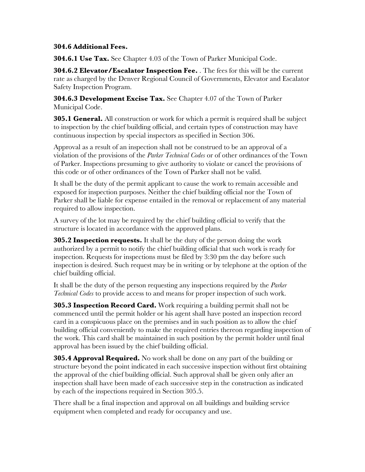#### **304.6 Additional Fees.**

**304.6.1 Use Tax.** See Chapter 4.03 of the Town of Parker Municipal Code.

**304.6.2 Elevator/Escalator Inspection Fee.** . The fees for this will be the current rate as charged by the Denver Regional Council of Governments, Elevator and Escalator Safety Inspection Program.

**304.6.3 Development Excise Tax.** See Chapter 4.07 of the Town of Parker Municipal Code.

**305.1 General.** All construction or work for which a permit is required shall be subject to inspection by the chief building official, and certain types of construction may have continuous inspection by special inspectors as specified in Section 306.

Approval as a result of an inspection shall not be construed to be an approval of a violation of the provisions of the *Parker Technical Codes* or of other ordinances of the Town of Parker. Inspections presuming to give authority to violate or cancel the provisions of this code or of other ordinances of the Town of Parker shall not be valid.

It shall be the duty of the permit applicant to cause the work to remain accessible and exposed for inspection purposes. Neither the chief building official nor the Town of Parker shall be liable for expense entailed in the removal or replacement of any material required to allow inspection.

A survey of the lot may be required by the chief building official to verify that the structure is located in accordance with the approved plans.

**305.2 Inspection requests.** It shall be the duty of the person doing the work authorized by a permit to notify the chief building official that such work is ready for inspection. Requests for inspections must be filed by 3:30 pm the day before such inspection is desired. Such request may be in writing or by telephone at the option of the chief building official.

It shall be the duty of the person requesting any inspections required by the *Parker Technical Codes* to provide access to and means for proper inspection of such work.

**305.3 Inspection Record Card.** Work requiring a building permit shall not be commenced until the permit holder or his agent shall have posted an inspection record card in a conspicuous place on the premises and in such position as to allow the chief building official conveniently to make the required entries thereon regarding inspection of the work. This card shall be maintained in such position by the permit holder until final approval has been issued by the chief building official.

**305.4 Approval Required.** No work shall be done on any part of the building or structure beyond the point indicated in each successive inspection without first obtaining the approval of the chief building official. Such approval shall be given only after an inspection shall have been made of each successive step in the construction as indicated by each of the inspections required in Section 305.5.

There shall be a final inspection and approval on all buildings and building service equipment when completed and ready for occupancy and use.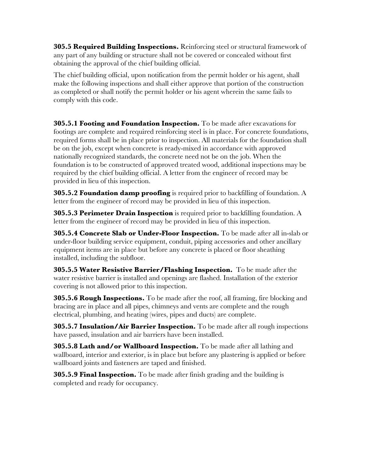**305.5 Required Building Inspections.** Reinforcing steel or structural framework of any part of any building or structure shall not be covered or concealed without first obtaining the approval of the chief building official.

The chief building official, upon notification from the permit holder or his agent, shall make the following inspections and shall either approve that portion of the construction as completed or shall notify the permit holder or his agent wherein the same fails to comply with this code.

**305.5.1 Footing and Foundation Inspection.** To be made after excavations for footings are complete and required reinforcing steel is in place. For concrete foundations, required forms shall be in place prior to inspection. All materials for the foundation shall be on the job, except when concrete is ready-mixed in accordance with approved nationally recognized standards, the concrete need not be on the job. When the foundation is to be constructed of approved treated wood, additional inspections may be required by the chief building official. A letter from the engineer of record may be provided in lieu of this inspection.

**305.5.2 Foundation damp proofing** is required prior to backfilling of foundation. A letter from the engineer of record may be provided in lieu of this inspection.

**305.5.3 Perimeter Drain Inspection** is required prior to backfilling foundation. A letter from the engineer of record may be provided in lieu of this inspection.

**305.5.4 Concrete Slab or Under-Floor Inspection.** To be made after all in-slab or under-floor building service equipment, conduit, piping accessories and other ancillary equipment items are in place but before any concrete is placed or floor sheathing installed, including the subfloor.

**305.5.5 Water Resistive Barrier/Flashing Inspection.** To be made after the water resistive barrier is installed and openings are flashed. Installation of the exterior covering is not allowed prior to this inspection.

**305.5.6 Rough Inspections.** To be made after the roof, all framing, fire blocking and bracing are in place and all pipes, chimneys and vents are complete and the rough electrical, plumbing, and heating (wires, pipes and ducts) are complete.

**305.5.7 Insulation/Air Barrier Inspection.** To be made after all rough inspections have passed, insulation and air barriers have been installed.

**305.5.8 Lath and/or Wallboard Inspection.** To be made after all lathing and wallboard, interior and exterior, is in place but before any plastering is applied or before wallboard joints and fasteners are taped and finished.

**305.5.9 Final Inspection.** To be made after finish grading and the building is completed and ready for occupancy.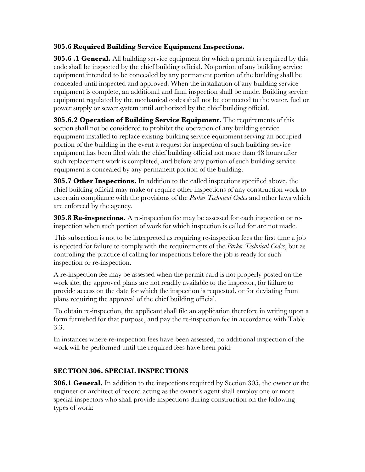#### **305.6 Required Building Service Equipment Inspections.**

**305.6 .1 General.** All building service equipment for which a permit is required by this code shall be inspected by the chief building official. No portion of any building service equipment intended to be concealed by any permanent portion of the building shall be concealed until inspected and approved. When the installation of any building service equipment is complete, an additional and final inspection shall be made. Building service equipment regulated by the mechanical codes shall not be connected to the water, fuel or power supply or sewer system until authorized by the chief building official.

**305.6.2 Operation of Building Service Equipment.** The requirements of this section shall not be considered to prohibit the operation of any building service equipment installed to replace existing building service equipment serving an occupied portion of the building in the event a request for inspection of such building service equipment has been filed with the chief building official not more than 48 hours after such replacement work is completed, and before any portion of such building service equipment is concealed by any permanent portion of the building.

**305.7 Other Inspections.** In addition to the called inspections specified above, the chief building official may make or require other inspections of any construction work to ascertain compliance with the provisions of the *Parker Technical Codes* and other laws which are enforced by the agency.

**305.8 Re-inspections.** A re-inspection fee may be assessed for each inspection or reinspection when such portion of work for which inspection is called for are not made.

This subsection is not to be interpreted as requiring re-inspection fees the first time a job is rejected for failure to comply with the requirements of the *Parker Technical Codes*, but as controlling the practice of calling for inspections before the job is ready for such inspection or re-inspection.

A re-inspection fee may be assessed when the permit card is not properly posted on the work site; the approved plans are not readily available to the inspector, for failure to provide access on the date for which the inspection is requested, or for deviating from plans requiring the approval of the chief building official.

To obtain re-inspection, the applicant shall file an application therefore in writing upon a form furnished for that purpose, and pay the re-inspection fee in accordance with Table 3.3.

In instances where re-inspection fees have been assessed, no additional inspection of the work will be performed until the required fees have been paid.

#### **SECTION 306. SPECIAL INSPECTIONS**

**306.1 General.** In addition to the inspections required by Section 305, the owner or the engineer or architect of record acting as the owner's agent shall employ one or more special inspectors who shall provide inspections during construction on the following types of work: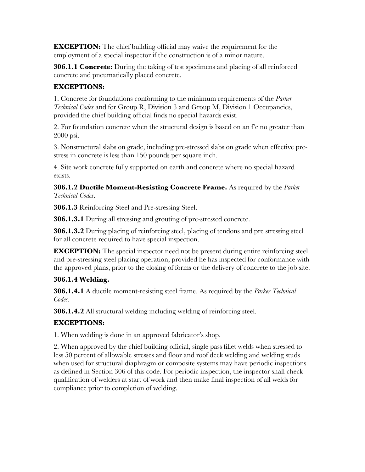**EXCEPTION:** The chief building official may waive the requirement for the employment of a special inspector if the construction is of a minor nature.

**306.1.1 Concrete:** During the taking of test specimens and placing of all reinforced concrete and pneumatically placed concrete.

#### **EXCEPTIONS:**

1. Concrete for foundations conforming to the minimum requirements of the *Parker Technical Codes* and for Group R, Division 3 and Group M, Division 1 Occupancies, provided the chief building official finds no special hazards exist.

2. For foundation concrete when the structural design is based on an f'c no greater than 2000 psi.

3. Nonstructural slabs on grade, including pre-stressed slabs on grade when effective prestress in concrete is less than 150 pounds per square inch.

4. Site work concrete fully supported on earth and concrete where no special hazard exists.

**306.1.2 Ductile Moment-Resisting Concrete Frame.** As required by the *Parker Technical Codes*.

**306.1.3** Reinforcing Steel and Pre-stressing Steel.

**306.1.3.1** During all stressing and grouting of pre-stressed concrete.

**306.1.3.2** During placing of reinforcing steel, placing of tendons and pre stressing steel for all concrete required to have special inspection.

**EXCEPTION:** The special inspector need not be present during entire reinforcing steel and pre-stressing steel placing operation, provided he has inspected for conformance with the approved plans, prior to the closing of forms or the delivery of concrete to the job site.

#### **306.1.4 Welding.**

**306.1.4.1** A ductile moment-resisting steel frame. As required by the *Parker Technical Codes*.

**306.1.4.2** All structural welding including welding of reinforcing steel.

#### **EXCEPTIONS:**

1. When welding is done in an approved fabricator's shop.

2. When approved by the chief building official, single pass fillet welds when stressed to less 50 percent of allowable stresses and floor and roof deck welding and welding studs when used for structural diaphragm or composite systems may have periodic inspections as defined in Section 306 of this code. For periodic inspection, the inspector shall check qualification of welders at start of work and then make final inspection of all welds for compliance prior to completion of welding.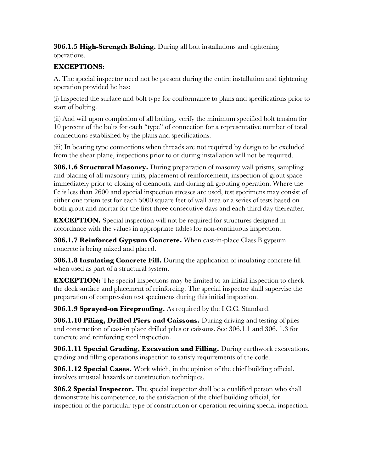**306.1.5 High-Strength Bolting.** During all bolt installations and tightening operations.

#### **EXCEPTIONS:**

A. The special inspector need not be present during the entire installation and tightening operation provided he has:

(i) Inspected the surface and bolt type for conformance to plans and specifications prior to start of bolting.

(ii) And will upon completion of all bolting, verify the minimum specified bolt tension for 10 percent of the bolts for each "type" of connection for a representative number of total connections established by the plans and specifications.

(iii) In bearing type connections when threads are not required by design to be excluded from the shear plane, inspections prior to or during installation will not be required.

**306.1.6 Structural Masonry.** During preparation of masonry wall prisms, sampling and placing of all masonry units, placement of reinforcement, inspection of grout space immediately prior to closing of cleanouts, and during all grouting operation. Where the f'c is less than 2600 and special inspection stresses are used, test specimens may consist of either one prism test for each 5000 square feet of wall area or a series of tests based on both grout and mortar for the first three consecutive days and each third day thereafter.

**EXCEPTION.** Special inspection will not be required for structures designed in accordance with the values in appropriate tables for non-continuous inspection.

**306.1.7 Reinforced Gypsum Concrete.** When cast-in-place Class B gypsum concrete is being mixed and placed.

**306.1.8 Insulating Concrete Fill.** During the application of insulating concrete fill when used as part of a structural system.

**EXCEPTION:** The special inspections may be limited to an initial inspection to check the deck surface and placement of reinforcing. The special inspector shall supervise the preparation of compression test specimens during this initial inspection.

**306.1.9 Sprayed-on Fireproofing.** As required by the I.C.C. Standard.

**306.1.10 Piling, Drilled Piers and Caissons.** During driving and testing of piles and construction of cast-in place drilled piles or caissons. See 306.1.1 and 306. 1.3 for concrete and reinforcing steel inspection.

**306.1.11 Special Grading, Excavation and Filling.** During earthwork excavations, grading and filling operations inspection to satisfy requirements of the code.

**306.1.12 Special Cases.** Work which, in the opinion of the chief building official, involves unusual hazards or construction techniques.

**306.2 Special Inspector.** The special inspector shall be a qualified person who shall demonstrate his competence, to the satisfaction of the chief building official, for inspection of the particular type of construction or operation requiring special inspection.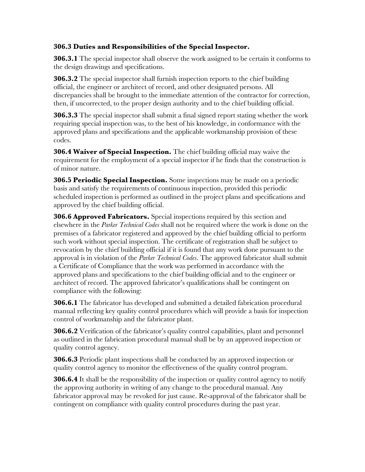#### **306.3 Duties and Responsibilities of the Special Inspector.**

**306.3.1** The special inspector shall observe the work assigned to be certain it conforms to the design drawings and specifications.

**306.3.2** The special inspector shall furnish inspection reports to the chief building official, the engineer or architect of record, and other designated persons. All discrepancies shall be brought to the immediate attention of the contractor for correction, then, if uncorrected, to the proper design authority and to the chief building official.

**306.3.3** The special inspector shall submit a final signed report stating whether the work requiring special inspection was, to the best of his knowledge, in conformance with the approved plans and specifications and the applicable workmanship provision of these codes.

**306.4 Waiver of Special Inspection.** The chief building official may waive the requirement for the employment of a special inspector if he finds that the construction is of minor nature.

**306.5 Periodic Special Inspection.** Some inspections may be made on a periodic basis and satisfy the requirements of continuous inspection, provided this periodic scheduled inspection is performed as outlined in the project plans and specifications and approved by the chief building official.

**306.6 Approved Fabricators.** Special inspections required by this section and elsewhere in the *Parker Technical Codes* shall not be required where the work is done on the premises of a fabricator registered and approved by the chief building official to perform such work without special inspection. The certificate of registration shall be subject to revocation by the chief building official if it is found that any work done pursuant to the approval is in violation of the *Parker Technical Codes*. The approved fabricator shall submit a Certificate of Compliance that the work was performed in accordance with the approved plans and specifications to the chief building official and to the engineer or architect of record. The approved fabricator's qualifications shall be contingent on compliance with the following:

**306.6.1** The fabricator has developed and submitted a detailed fabrication procedural manual reflecting key quality control procedures which will provide a basis for inspection control of workmanship and the fabricator plant.

**306.6.2** Verification of the fabricator's quality control capabilities, plant and personnel as outlined in the fabrication procedural manual shall be by an approved inspection or quality control agency.

**306.6.3** Periodic plant inspections shall be conducted by an approved inspection or quality control agency to monitor the effectiveness of the quality control program.

**306.6.4** It shall be the responsibility of the inspection or quality control agency to notify the approving authority in writing of any change to the procedural manual. Any fabricator approval may be revoked for just cause. Re-approval of the fabricator shall be contingent on compliance with quality control procedures during the past year.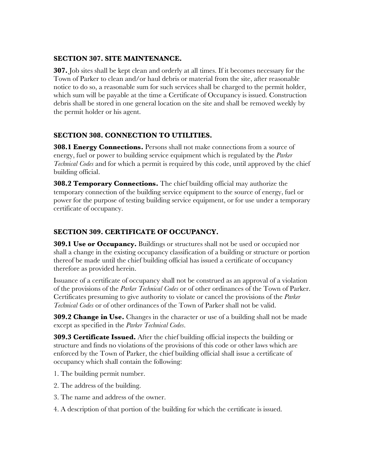#### **SECTION 307. SITE MAINTENANCE.**

**307.** Job sites shall be kept clean and orderly at all times. If it becomes necessary for the Town of Parker to clean and/or haul debris or material from the site, after reasonable notice to do so, a reasonable sum for such services shall be charged to the permit holder, which sum will be payable at the time a Certificate of Occupancy is issued. Construction debris shall be stored in one general location on the site and shall be removed weekly by the permit holder or his agent.

#### **SECTION 308. CONNECTION TO UTILITIES.**

**308.1 Energy Connections.** Persons shall not make connections from a source of energy, fuel or power to building service equipment which is regulated by the *Parker Technical Codes* and for which a permit is required by this code, until approved by the chief building official.

**308.2 Temporary Connections.** The chief building official may authorize the temporary connection of the building service equipment to the source of energy, fuel or power for the purpose of testing building service equipment, or for use under a temporary certificate of occupancy.

#### **SECTION 309. CERTIFICATE OF OCCUPANCY.**

**309.1 Use or Occupancy.** Buildings or structures shall not be used or occupied nor shall a change in the existing occupancy classification of a building or structure or portion thereof be made until the chief building official has issued a certificate of occupancy therefore as provided herein.

Issuance of a certificate of occupancy shall not be construed as an approval of a violation of the provisions of the *Parker Technical Codes* or of other ordinances of the Town of Parker. Certificates presuming to give authority to violate or cancel the provisions of the *Parker Technical Codes* or of other ordinances of the Town of Parker shall not be valid.

**309.2 Change in Use.** Changes in the character or use of a building shall not be made except as specified in the *Parker Technical Codes*.

**309.3 Certificate Issued.** After the chief building official inspects the building or structure and finds no violations of the provisions of this code or other laws which are enforced by the Town of Parker, the chief building official shall issue a certificate of occupancy which shall contain the following:

- 1. The building permit number.
- 2. The address of the building.
- 3. The name and address of the owner.
- 4. A description of that portion of the building for which the certificate is issued.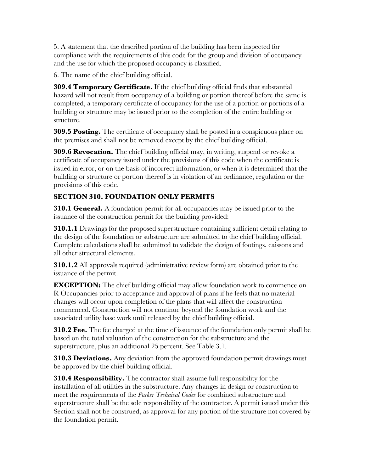5. A statement that the described portion of the building has been inspected for compliance with the requirements of this code for the group and division of occupancy and the use for which the proposed occupancy is classified.

6. The name of the chief building official.

**309.4 Temporary Certificate.** If the chief building official finds that substantial hazard will not result from occupancy of a building or portion thereof before the same is completed, a temporary certificate of occupancy for the use of a portion or portions of a building or structure may be issued prior to the completion of the entire building or structure.

**309.5 Posting.** The certificate of occupancy shall be posted in a conspicuous place on the premises and shall not be removed except by the chief building official.

**309.6 Revocation.** The chief building official may, in writing, suspend or revoke a certificate of occupancy issued under the provisions of this code when the certificate is issued in error, or on the basis of incorrect information, or when it is determined that the building or structure or portion thereof is in violation of an ordinance, regulation or the provisions of this code.

#### **SECTION 310. FOUNDATION ONLY PERMITS**

**310.1 General.** A foundation permit for all occupancies may be issued prior to the issuance of the construction permit for the building provided:

**310.1.1** Drawings for the proposed superstructure containing sufficient detail relating to the design of the foundation or substructure are submitted to the chief building official. Complete calculations shall be submitted to validate the design of footings, caissons and all other structural elements.

**310.1.2** All approvals required (administrative review form) are obtained prior to the issuance of the permit.

**EXCEPTION:** The chief building official may allow foundation work to commence on R Occupancies prior to acceptance and approval of plans if he feels that no material changes will occur upon completion of the plans that will affect the construction commenced. Construction will not continue beyond the foundation work and the associated utility base work until released by the chief building official.

**310.2 Fee.** The fee charged at the time of issuance of the foundation only permit shall be based on the total valuation of the construction for the substructure and the superstructure, plus an additional 25 percent. See Table 3.1.

**310.3 Deviations.** Any deviation from the approved foundation permit drawings must be approved by the chief building official.

**310.4 Responsibility.** The contractor shall assume full responsibility for the installation of all utilities in the substructure. Any changes in design or construction to meet the requirements of the *Parker Technical Codes* for combined substructure and superstructure shall be the sole responsibility of the contractor. A permit issued under this Section shall not be construed, as approval for any portion of the structure not covered by the foundation permit.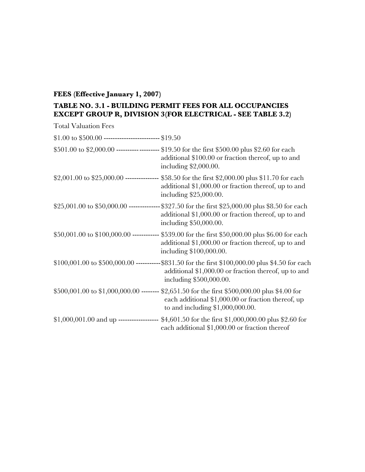#### **FEES (Effective January 1, 2007)**

#### **TABLE NO. 3.1 - BUILDING PERMIT FEES FOR ALL OCCUPANCIES EXCEPT GROUP R, DIVISION 3(FOR ELECTRICAL - SEE TABLE 3.2)**

| <b>Total Valuation Fees</b>                               |                                                                                                                                                                                          |
|-----------------------------------------------------------|------------------------------------------------------------------------------------------------------------------------------------------------------------------------------------------|
| $$1.00$ to $$500.00$ ---------------------------- \$19.50 |                                                                                                                                                                                          |
|                                                           | \$501.00 to \$2,000.00 ---------- --------- \$19.50 for the first \$500.00 plus \$2.60 for each<br>additional \$100.00 or fraction thereof, up to and<br>including $$2,000.00$ .         |
|                                                           | \$2,001.00 to \$25,000.00 -------------- \$58.50 for the first \$2,000.00 plus \$11.70 for each<br>additional \$1,000.00 or fraction thereof, up to and<br>including \$25,000.00.        |
|                                                           | \$25,001.00 to \$50,000.00 --------------\$327.50 for the first \$25,000.00 plus \$8.50 for each<br>additional \$1,000.00 or fraction thereof, up to and<br>including \$50,000.00.       |
|                                                           | \$50,001.00 to \$100,000.00 ------------ \$539.00 for the first \$50,000.00 plus \$6.00 for each<br>additional \$1,000.00 or fraction thereof, up to and<br>including \$100,000.00.      |
|                                                           | \$100,001.00 to \$500,000.00 -----------\$831.50 for the first \$100,000.00 plus \$4.50 for each<br>additional \$1,000.00 or fraction thereof, up to and<br>including \$500,000.00.      |
|                                                           | \$500,001.00 to \$1,000,000.00 ------- \$2,651.50 for the first \$500,000.00 plus \$4.00 for<br>each additional \$1,000.00 or fraction thereof, up<br>to and including $$1,000,000.00$ . |
|                                                           | \$1,000,001.00 and up ------------------ \$4,601.50 for the first \$1,000,000.00 plus \$2.60 for<br>each additional \$1,000.00 or fraction thereof                                       |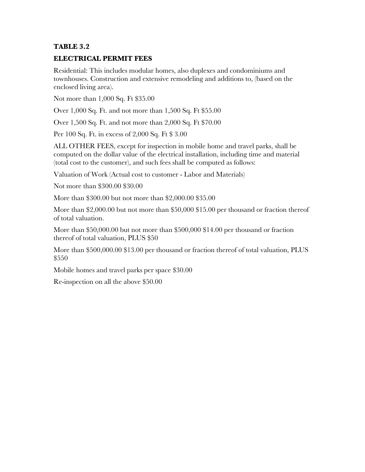#### **TABLE 3.2**

#### **ELECTRICAL PERMIT FEES**

Residential: This includes modular homes, also duplexes and condominiums and townhouses. Construction and extensive remodeling and additions to, (based on the enclosed living area).

Not more than 1,000 Sq. Ft \$35.00

Over 1,000 Sq. Ft. and not more than 1,500 Sq. Ft \$55.00

Over 1,500 Sq. Ft. and not more than 2,000 Sq. Ft \$70.00

Per 100 Sq. Ft. in excess of 2,000 Sq. Ft \$ 3.00

ALL OTHER FEES, except for inspection in mobile home and travel parks, shall be computed on the dollar value of the electrical installation, including time and material (total cost to the customer), and such fees shall be computed as follows:

Valuation of Work (Actual cost to customer - Labor and Materials)

Not more than \$300.00 \$30.00

More than \$300.00 but not more than \$2,000.00 \$35.00

More than \$2,000.00 but not more than \$50,000 \$15.00 per thousand or fraction thereof of total valuation.

More than \$50,000.00 but not more than \$500,000 \$14.00 per thousand or fraction thereof of total valuation, PLUS \$50

More than \$500,000.00 \$13.00 per thousand or fraction thereof of total valuation, PLUS \$550

Mobile homes and travel parks per space \$30.00

Re-inspection on all the above \$50.00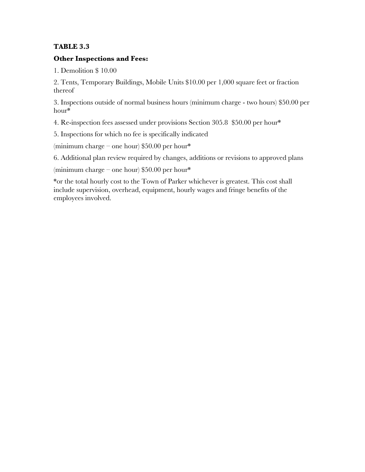#### **TABLE 3.3**

#### **Other Inspections and Fees:**

1. Demolition \$ 10.00

2. Tents, Temporary Buildings, Mobile Units \$10.00 per 1,000 square feet or fraction thereof

3. Inspections outside of normal business hours (minimum charge - two hours) \$50.00 per hour\*

4. Re-inspection fees assessed under provisions Section 305.8 \$50.00 per hour\*

5. Inspections for which no fee is specifically indicated

(minimum charge – one hour)  $$50.00$  per hour\*

6. Additional plan review required by changes, additions or revisions to approved plans

(minimum charge – one hour) \$50.00 per hour\*

\*or the total hourly cost to the Town of Parker whichever is greatest. This cost shall include supervision, overhead, equipment, hourly wages and fringe benefits of the employees involved.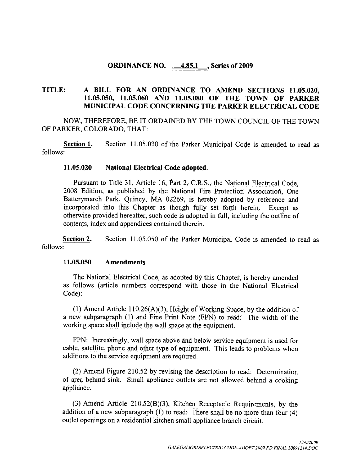#### ORDINANCE NO. 4.85.1 Series of 2009

# TITLE: A BILL FOR AN ORDINANCE TO AMEND SECTIONS 11.05.020,<br>11.05.050, 11.05.060 AND 11.05.080 OF THE TOWN OF PARKER A BILL FOR AN ORDINANCE TO AMEND SECTIONS 11.05.020,<br>11.05.050, 11.05.060 AND 11.05.080 OF THE TOWN OF PARKER<br>MUNICIPAL.CODE.CONCERNING.THE.PARKER.FLECTRICAL.CODE MUNICIPAL CODE CONCERNING THE PARKER ELECTRICAL CODE

NOW, THEREFORE, BE IT ORDAINED BY THE TOWN COUNCIL OF THE TOWN OF PARKER, COLORADO, THAT:

Section 1. Section 11.05.020 of the Parker Municipal Code is amended to read as follows

#### 11.05.020 National Electrical Code adopted.

Pursuant to Title 31, Article 16, Part 2, C.R.S., the National Electrical Code, 2008 Edition, as published by the National Fire Protection Association, One Batterymarch Park, Quincy, MA 02269, is hereby adopted by reference and incorporated into this Chapter as though fully set forth herein. Except as incorporated into this Chapter as though fully set forth herein. otherwise provided hereafter, such code is adopted in full, including the outline of contents, index and appendices contained therein.

Section 2. Section 11.05.050 of the Parker Municipal Code is amended to read as follows

#### 11.05.050 Amendments.

The National Electrical Code, as adopted by this Chapter, is hereby amended as follows (article numbers correspond with those in the National Electrical Code): 1 1 0.5.050 **10.1 Amendments.**<br>
The National Electrical Code, as adopted by this Chapter, is hereby amended follows (article numbers correspond with those in the National Electrical<br>
1 1 Amend Article 110.26(A)(3), Height

(1) Amend Article 110.26(A)(3), Height of Working Space, by the addition of a new subparagraph (1) and Fine Print Note (FPN) to read: The width of the working space shall include the wall space at the equipment

FPN: Increasingly, wall space above and below service equipment is used for cable, satellite, phone and other type of equipment. This leads to problems when additions to the service equipment are required

 $(2)$  Amend Figure 210.52 by revising the description to read: Determination of area behind sink. Small appliance outlets are not allowed behind a cooking appliance 3 Amend Article 210.52 by revising the description to read: Determination<br>3 Amend Figure 210.52 by revising the description to read: Determination<br>3 Amend Article 210.52(B)(3), Kitchen Receptacle Requirements, by the<br>3 Ame

(3) Amend Article 210.52(B)(3), Kitchen Receptacle Requirements, by the addition of a new subparagraph (1) to read: There shall be no more than four (4) outlet openings on a residential kitchen small appliance branch circuit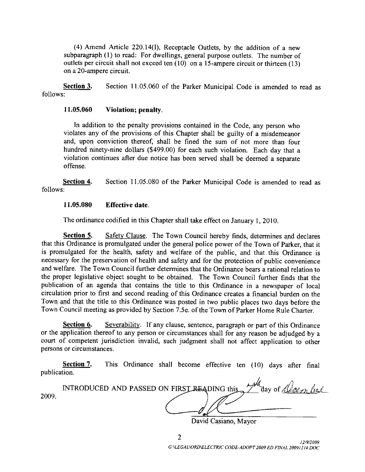(4) Amend Article 220.14(I), Receptacle Outlets, by the addition of a new<br>paragraph (1) to read: For dwellings, general purpose outlets. The number of<br>lets per circuit shall not exceed ten (10) on a 15-ampere circuit or t (4) Amend Article 220.14(1), Receptacle Outlets, by the addition of a new<br>subparagraph (1) to read: For dwellings, general purpose outlets. The number of outlets per circuit shall not exceed ten  $(10)$  on a Itiets, by the addition of a new<br>purpose outlets. The number of<br>15-ampere circuit or thirteen (13) subparagraph (1) to rea<br>outlets per circuit shall<br>on a 20-ampere circuit.

on a 20-ampere circuit.<br>
Section 3. Section 11.05.060 of the Parker Municipal Code is amended to read as follows

#### $11.05.060$  Violation; penalty.

In addition to the penalty provisions contained in the Code, any person who violates any of the provisions of this Chapter shall be guilty of a misdemeanor and, upon conviction thereof, shall be fined the sum of not more than four hundred ninety-nine dollars (\$499.00) for each such violation. Each day that a violation continues after due notice has been served shall be deemed <sup>a</sup> separate offense

Section 4. Section 11,05.080 of the Parker Municipal Code is amended to read as follows :<br>11.05.080 Effective date.

The ordinance codified in this Chapter shall take effect on January 1, 2010.

Section 5. Safety Clause. The Town Council hereby finds, determines and declares that this Ordinance is promulgated under the general police power of the Town of Parker, that it is promulgated for the health, safety and welfare of the public, and that this Ordinance is necessary for the preservation of health and safety and for the protection of public convenience and welfare. The Town Council further determines that the Ordinance bears a rational relation to the proper legislative object sought to be obtained. The Town Council further finds that the publication of an agenda that contains the title to this Ordinance in <sup>a</sup> newspaper of local circulation prior to first and second reading of this Ordinance creates a financial burden on the Town and that the title to this Ordinance was posted in two public places two days before the circulation prior to first and second reading of this Ordinance creates a financial burden on t<br>Town and that the title to this Ordinance was posted in two public places two days before t<br>Town Council meeting as provided b tion of an agenda that contains the title to this Ordinance in a newspaper of local<br>ion prior to first and second reading of this Ordinance creates a financial burden on the<br>md that the title to this Ordinance was posted i

or the application thereof to any person or circumstances shall for any reason be adjudged by a court of competent jurisdiction invalid, such judgment shall not affect application to other persons or circumstances

Section 7. This Ordinance shall become effective ten (10) days after final publication

| publication. |                                                                                                        |
|--------------|--------------------------------------------------------------------------------------------------------|
| 2009.        | INTRODUCED AND PASSED ON FIRST READING this $2^{\mu\nu}$ day of $\sqrt{(\ell e_{\ell\ell\ell})}$ (i.e. |

David Casiano, Mayor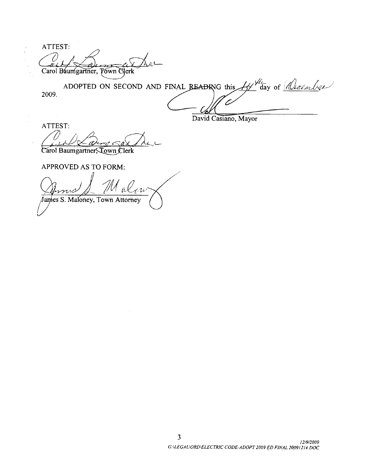ATTEST:  $\Lambda$  a. Carol Baumgartner, Town Clerk  $\sim$ 

2009 ADOPTED ON SECOND AND FINAL BEADING this  $A$  day of Neeember FINAL READING this  $\frac{H}{dx}$  day of <u>deeembers</u>

David Casiano, Mayor

ATTEST

 $\frac{1}{2}$ 

Carol Baumgartner, Town Clerk

APPROVED AS TO FORM

2000 Mulgue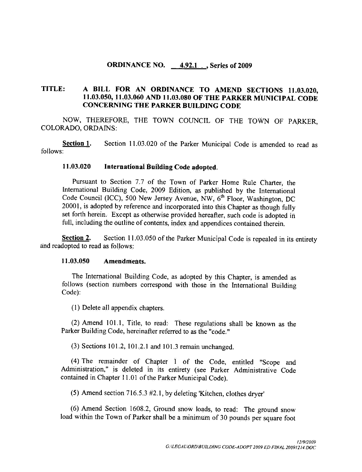#### ORDINANCE NO.  $\frac{4.92.1}{ }$ , Series of 2009

# TITLE: A BILL FOR AN ORDINANCE TO AMEND SECTIONS 11.03.020,<br>11.03.050, 11.03.060 AND 11.03.080 OF THE PARKER MUNICIPAL CODE A BILL FOR AN ORDINANCE TO AMEND SECTIONS 11.03.020,<br>11.03.050, 11.03.060 AND 11.03.080 OF THE PARKER MUNICIPAL CODE<br>CONCERNING THE PARKER BUILDING CODE CONCERNING THE PARKER BUILDING CODE

NOW, THEREFORE, THE TOWN COUNCIL OF THE TOWN OF PARKER, COLORADO, ORDAINS:

Section 1. Section 11.03.020 of the Parker Municipal Code is amended to read as follows

#### 11.03.020 International Building Code adopted.

Pursuant to Section 7.7 of the Town of Parker Home Rule Charter, the International Building Code, 2009 Edition, as published by the International Code Council (ICC), 500 New Jersey Avenue, NW, 6<sup>th</sup> Floor, Washington, DC 20001, is adopted by reference and incorporated into this Chapter as though fully set forth herein. Except as otherwise provided hereafter, such code is adopted in full, including the outline of contents, index and appendices contained therein.

**Section 2.** Section 11.03.050 of the Parker Municipal Code is repealed in its entirety and readopted to read as follows:<br>11.03.050 Amendments.

The International Building Code, as adopted by this Chapter, is amended as follows (section numbers correspond with those in the International Building Code):

(1) Delete all appendix chapters.

 $(2)$  Amend 101.1, Title, to read: These regulations shall be known as the Parker Building Code, hereinafter referred to as the "code."<br>(3) Sections 101.2, 101.2.1 and 101.3 remain unchanged.

(4) The remainder of Chapter 1 of the Code, entitled "Scope and Administration," is deleted in its entirety (see Parker Administrative Code<br>contained in Chapter 11.01 of the Parker Municipal Code).<br>(5) Amend section 716.5.3 #2.1, by deleting Kitchen, clothes dryer' contained in Chapter 11.01 of the Parker Municipal Code).

(5) Amend section 716.5.3  $#2.1$ , by deleting 'Kitchen, clothes dryer'<br>(6) Amend Section 1608.2, Ground snow loads, to read: The ground snow<br>load within the Town of Parker shall be a minimum of 30 pounds per square foot (6) Amend Section 1608.2, Ground snow loads, to read: The ground snow by deleting 'Kitchen, c<br>
und snow loads, to re<br>
l be a minimum of 30<br>
G:*\LEGAL\ORD\BUILDING* COL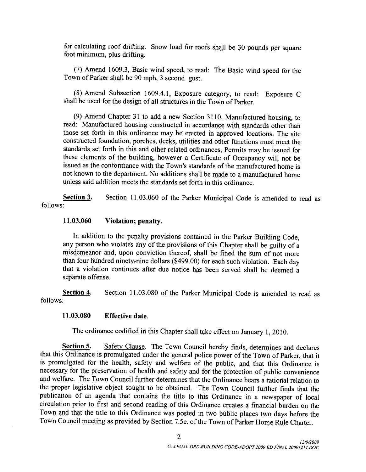for calculating roof drifting. Snow load for roofs shall be 30 pounds per square foot minimum, plus drifting.

relation calculating root drifting. Show load for roofs shall be 30 pounds per square<br>1 minimum, plus drifting.<br>(7) Amend 1609.3, Basic wind speed, to read: The Basic wind speed for the<br>10 vn of Parker shall be 90 mph, 3 s Town of Parker shall be 90 mph, 3 second gust. (7) Amend 1609.3, Basic wind speed, to read: The Basic wind speed for the vn of Parker shall be 90 mph, 3 second gust.<br>(8) Amend Subsection 1609.4.1, Exposure category, to read: Exposure C<br>ll be used for the design of all

(8) Amend Subsection 1609.4.1, Exposure category, to read: Exposure C shall be used for the design of all structures in the Town of Parker.

(9) Amend Chapter 31 to add a new Section 3110, Manufactured housing, to read: Manufactured housing constructed in accordance with standards other than those set forth in this ordinance may be erected in approved locations The site constructed foundation, porches, decks, utilities and other functions must meet the standards set forth in this and other related ordinances, Permits may be issued for these elements of the building, however a Certificate of Occupancy will not be issued as the conformance with the Town's standards of the manufactured home is constructed foundation, porches, decks, utilities and other functions must meet the standards set forth in this and other related ordinances, Permits may be issued for these elements of the building, however a Certificate not known to the department. No additions shall be made to a manufactured home unless said addition meets the standards set forth in this ordinance

Section 3. Section 11.03.060 of the Parker Municipal Code is amended to read as follows

#### $11.03.060$  Violation; penalty.

In addition to the penalty provisions contained in the Parker Building Code any person who violates any of the provisions of this Chapter shall be guilty of a misdemeanor and, upon conviction thereof, shall be fined the sum of not more than four hundred ninety-nine dollars (\$499.00) for each such violation. Each day that <sup>a</sup> violation continues after due notice has been served shall be deemed a separate offense

Section 4. Section 11.03.080 of the Parker Municipal Code is amended to read as follows

#### 11.03.080 Effective date.

The ordinance codified in this Chapter shall take effect on January 1, 2010.

Section 5. Safety Clause. The Town Council hereby finds, determines and declares that this Ordinance is promulgated under the general police power of the Town of Parker, that it is promulgated for the health, safety and welfare of the public, and that this Ordinance is necessary for the preservation of health and safety and for the protection of public convenience and welfare. The Town Council further determines that the Ordinance bears a rational relation to the proper legislative object sought to be obtained. The Town Council further finds that the publication of an agenda that contains the title to this Ordinance in <sup>a</sup> newspaper of local circulation prior to first and second reading of this Ordinance creates a financial burden on the Inculation phot to first and second reading of this Ordinance creates a financial burden on the Town and that the title to this Ordinance was posted in two public places two days before the Town Council meeting as provided botained. The Town of this Ordinal of this Ordinance crease posted in two publical posted in two publical posted in two publical posted in two publical posted in two publical posted in two publical posted in two publical p Town Council meeting as provided by Section 7.5e. of the Town of Parker Home Rule Charter.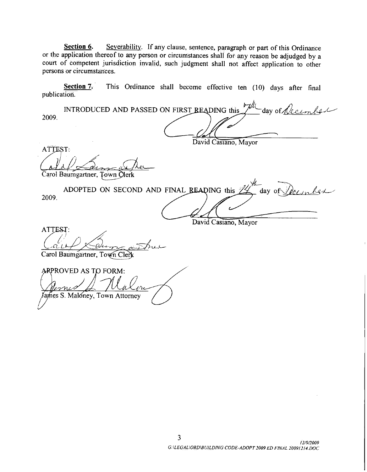Section 6. Severability. If any clause, sentence, paragraph or part of this Ordinance court of competent jurisdiction invalid, such judgment shall not affect application to other persons or circumstances

Section 7. This Ordinance shall become effective ten (10) days after final publication.

or the application thereof to any person or circumstances shall for any reason be adjudged by a<br>court of competent jurisdiction invalid, such judgment shall not affect application to other<br>persons or circumstances.<br><u>Sectio</u> 2009 1 Example or part of this Ordinance<br>
or any reason be adjudged by a<br>
not affect application to other<br>
e ten (10) days after final<br>
this  $\frac{1}{\sqrt{2}}$  day of <u>Accember</u>

David Casiano, Mayor **ATTEST:** l Carol Baumgartner, Town Clerk 2009 aumgartner, Town Olerk<br>ADOPTED ON SECOND AND FINAL READING this 24 day of Deember David Casiano, Mayor ATTEST: Carol Baumgartner, Town Clerk ARPROVED AS TO FORM: James S. Maloney, Town Attorney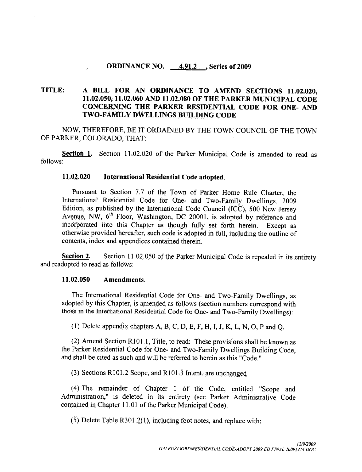#### ORDINANCE NO.  $4.91.2$ , Series of 2009

# TITLE: A BILL FOR AN ORDINANCE TO AMEND SECTIONS 11.02.020,<br>11.02.050, 11.02.060 AND 11.02.080 OF THE PARKER MUNICIPAL CODE **A BILL FOR AN ORDINANCE TO AMEND SECTIONS 11.02.020.<br>11.02.050, 11.02.060 AND 11.02.080 OF THE PARKER MUNICIPAL CODE**<br>CONCERNING THE PARKER RESIDENTIAL CODE FOR ONE, AND **CONCERNING THE PARKER RESIDENTIAL CODE FOR ONE-AND TWO-FAMILY DWELLINGS BUILDING CODE**

NOW, THEREFORE, BE IT ORDAINED BY THE TOWN COUNCIL OF THE TOWN OF PARKER, COLORADO, THAT:

Section 1. Section 11.02.020 of the Parker Municipal Code is amended to read as follows

#### 11.02.020 International Residential Code adopted.

Pursuant to Section 7.7 of the Town of Parker Home Rule Charter, the International Residential Code for One- and Two-Family Dwellings, 2009 Edition, as published by the International Code Council (ICC), 500 New Jersey Avenue, NW,  $6<sup>th</sup>$  Floor, Washington, DC 20001, is adopted by reference and incorporated into this Chapter as though fully set forth herein. Except as otherwise provided hereafter, such code is adopted in full, including the outline of contents, index and appendices contained therein.

Section 2. Section 11.02.050 of the Parker Municipal Code is repealed in its entirety and readopted to read as follows:<br>11.02.050 Amendments

 $\bar{\beta}$ 

The International Residential Code for One and Two Family Dwellings as adopted by this Chapter, is amended as follows (section numbers correspond with those in the International Residential Code for One- and Two-Family Dwellings):

(1) Delete appendix chapters A, B, C, D, E, F, H, I, J, K, L, N, O, P and Q.

22 Amend Section R101.1, Title, to read: These provisions shall be known as<br>the Parker Residential Code for One- and Two-Family Dwellings Building Code,<br>and shall be cited as such and will be referred to begin as this "Cod and shall be cited as such and will be referred to herein as this "Code." Parker Residential Code for One- and Two-Family Dwelling<br>shall be cited as such and will be referred to herein as this "C<br>(3) Sections R101.2 Scope, and R101.3 Intent, are unchanged

(4) The remainder of Chapter 1 of the Code, entitled "Scope and Administration," is deleted in its entirety (see Parker Administrative Code contained in Chapter 11.01 of the Parker Municipal Code). (4) The remainder of Chapter 1 of the Code, entitled ministration," is deleted in its entirety (see Parker Administration Chapter 11.01 of the Parker Municipal Code).<br>
(5) Delete Table R301.2(1), including foot notes, and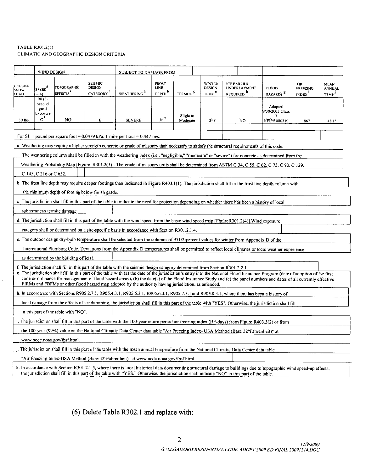# TABLE R301.2(1) CLIMATIC AND GEOGRAPHIC DESIGN CRITERIA  $R301.2(1)$ <br>TIC AND GEO

|                               | WIND DESIGN                                                                                                                                  |                                         |                                                   | SUBJECT TO DAMAGE FROM                                                                                                        |                                            |                            |                                                     |                                                                                                                                                                                                                                                                                                                                                         |                                      |                                              |                                                   |
|-------------------------------|----------------------------------------------------------------------------------------------------------------------------------------------|-----------------------------------------|---------------------------------------------------|-------------------------------------------------------------------------------------------------------------------------------|--------------------------------------------|----------------------------|-----------------------------------------------------|---------------------------------------------------------------------------------------------------------------------------------------------------------------------------------------------------------------------------------------------------------------------------------------------------------------------------------------------------------|--------------------------------------|----------------------------------------------|---------------------------------------------------|
| <b>GROUND</b><br>SNOW<br>LOAD | SPEED <sup>d</sup><br>mph)                                                                                                                   | TOPOGRAPHIC<br>EFFECTS <sup>K</sup>     | SEISMIC<br><b>DESIGN</b><br>CATEGORY <sup>f</sup> | WEATHERING <sup>a</sup>                                                                                                       | <b>FROST</b><br>LINE<br>DEPTH <sup>b</sup> | <b>TERMITE<sup>C</sup></b> | <b>WINTER</b><br><b>DESIGN</b><br>TEMP <sup>c</sup> | <b>ICE BARRIER</b><br><b>UNDERLAYMENT</b><br>REQUIRED <sup>h</sup>                                                                                                                                                                                                                                                                                      | <b>FLOOD</b><br>HAZARDS <sup>8</sup> | <b>AIR</b><br>FREEZING<br>INDEX <sup>1</sup> | <b>MEAN</b><br><b>ANNUAL</b><br>TEMP <sup>3</sup> |
|                               | $90(3 -$<br>second<br>gust)<br>Exposure                                                                                                      |                                         |                                                   |                                                                                                                               |                                            | Slight to                  |                                                     |                                                                                                                                                                                                                                                                                                                                                         | Adopted<br>9/30/2005 Class           |                                              |                                                   |
| 30.lbs.                       | $c^{k}$                                                                                                                                      | NO                                      | $\, {\bf B}$                                      | <b>SEVERE</b>                                                                                                                 | 36"                                        | Moderate                   | $-3$ °F                                             | NO.                                                                                                                                                                                                                                                                                                                                                     | NFIP# 080310                         | 867                                          | $48.1^\circ$                                      |
|                               | For SI: 1 pound per square foot = $0.0479$ kPa, 1 mile per hour = $0.447$ m/s.                                                               |                                         |                                                   |                                                                                                                               |                                            |                            |                                                     |                                                                                                                                                                                                                                                                                                                                                         |                                      |                                              |                                                   |
|                               | a. Weathering may require a higher strength concrete or grade of masonry than necessary to satisfy the structural requirements of this code. |                                         |                                                   |                                                                                                                               |                                            |                            |                                                     |                                                                                                                                                                                                                                                                                                                                                         |                                      |                                              |                                                   |
|                               |                                                                                                                                              |                                         |                                                   |                                                                                                                               |                                            |                            |                                                     | The weathering column shall be filled in with the weathering index (i.e., "negligible," "moderate" or "severe") for concrete as determined from the                                                                                                                                                                                                     |                                      |                                              |                                                   |
|                               |                                                                                                                                              |                                         |                                                   |                                                                                                                               |                                            |                            |                                                     | Weathering Probability Map [Figure R301.2(3)]. The grade of masonry units shall be determined from ASTM C 34, C 55, C 62, C 73, C 90, C 129,                                                                                                                                                                                                            |                                      |                                              |                                                   |
|                               | C 145, C 216 or C 652.                                                                                                                       |                                         |                                                   |                                                                                                                               |                                            |                            |                                                     |                                                                                                                                                                                                                                                                                                                                                         |                                      |                                              |                                                   |
|                               |                                                                                                                                              |                                         |                                                   |                                                                                                                               |                                            |                            |                                                     | b. The frost line depth may require deeper footings than indicated in Figure R403.1(1). The jurisdiction shall fill in the frost line depth column with                                                                                                                                                                                                 |                                      |                                              |                                                   |
|                               |                                                                                                                                              |                                         | the minimum depth of footing below finish grade.  |                                                                                                                               |                                            |                            |                                                     |                                                                                                                                                                                                                                                                                                                                                         |                                      |                                              |                                                   |
|                               |                                                                                                                                              |                                         |                                                   |                                                                                                                               |                                            |                            |                                                     | c. The jurisdiction shall fill in this part of the table to indicate the need for protection depending on whether there has been a history of local                                                                                                                                                                                                     |                                      |                                              |                                                   |
|                               |                                                                                                                                              | subterranean termite damage.            |                                                   |                                                                                                                               |                                            |                            |                                                     |                                                                                                                                                                                                                                                                                                                                                         |                                      |                                              |                                                   |
|                               |                                                                                                                                              |                                         |                                                   |                                                                                                                               |                                            |                            |                                                     | d. The jurisdiction shall fill in this part of the table with the wind speed from the basic wind speed map [FigureR301.2(4)]. Wind exposure                                                                                                                                                                                                             |                                      |                                              |                                                   |
|                               |                                                                                                                                              |                                         |                                                   | category shall be determined on a site-specific basis in accordance with Section R301.2.1.4.                                  |                                            |                            |                                                     |                                                                                                                                                                                                                                                                                                                                                         |                                      |                                              |                                                   |
|                               |                                                                                                                                              |                                         |                                                   |                                                                                                                               |                                            |                            |                                                     | e. The outdoor design dry-bulb temperature shall be selected from the columns of 971/2-percent values for winter from Appendix D of the                                                                                                                                                                                                                 |                                      |                                              |                                                   |
|                               |                                                                                                                                              |                                         |                                                   |                                                                                                                               |                                            |                            |                                                     | International Plumbing Code. Deviations from the Appendix D temperatures shall be permitted to reflect local climates or local weather experience                                                                                                                                                                                                       |                                      |                                              |                                                   |
|                               |                                                                                                                                              | as determined by the building official. |                                                   |                                                                                                                               |                                            |                            |                                                     |                                                                                                                                                                                                                                                                                                                                                         |                                      |                                              |                                                   |
|                               |                                                                                                                                              |                                         |                                                   | f. The jurisdiction shall fill in this part of the table with the seismic design category determined from Section R301.2.2.1. |                                            |                            |                                                     |                                                                                                                                                                                                                                                                                                                                                         |                                      |                                              |                                                   |
|                               |                                                                                                                                              |                                         |                                                   |                                                                                                                               |                                            |                            |                                                     | g. The jurisdiction shall fill in this part of the table with (a) the date of the jurisdiction's entry into the National Flood Insurance Program (date of adoption of the first<br>code or ordinance for management of flood hazard areas), (b) the date(s) of the Flood Insurance Study and (c) the panel numbers and dates of all currently effective |                                      |                                              |                                                   |
|                               |                                                                                                                                              |                                         |                                                   | FIRMs and FBFMs or other flood hazard map adopted by the authority having jurisdiction, as amended.                           |                                            |                            |                                                     |                                                                                                                                                                                                                                                                                                                                                         |                                      |                                              |                                                   |
|                               |                                                                                                                                              |                                         |                                                   |                                                                                                                               |                                            |                            |                                                     | h. In accordance with Sections R905.2.7.1, R905.4.3.1, R905.5.3.1, R905.6.3.1, R905.7.3.1 and R905.8.3.1, where there has been a history of                                                                                                                                                                                                             |                                      |                                              |                                                   |
|                               |                                                                                                                                              |                                         |                                                   |                                                                                                                               |                                            |                            |                                                     | local damage from the effects of ice damming, the jurisdiction shall fill in this part of the table with "YES". Otherwise, the jurisdiction shall fill                                                                                                                                                                                                  |                                      |                                              |                                                   |
|                               |                                                                                                                                              | in this part of the table with "NO".    |                                                   |                                                                                                                               |                                            |                            |                                                     |                                                                                                                                                                                                                                                                                                                                                         |                                      |                                              |                                                   |
|                               |                                                                                                                                              |                                         |                                                   |                                                                                                                               |                                            |                            |                                                     | i. The jurisdiction shall fill in this part of the table with the 100-year return period air freezing index (BF-days) from Figure R403.3(2) or from                                                                                                                                                                                                     |                                      |                                              |                                                   |
|                               |                                                                                                                                              |                                         |                                                   |                                                                                                                               |                                            |                            |                                                     | the 100-year (99%) value on the National Climatic Data Center data table "Air Freezing Index- USA Method (Base 32°Fahrenheit)" at                                                                                                                                                                                                                       |                                      |                                              |                                                   |
|                               |                                                                                                                                              | www.ncdc.noaa.gov/fpsf.html.            |                                                   |                                                                                                                               |                                            |                            |                                                     |                                                                                                                                                                                                                                                                                                                                                         |                                      |                                              |                                                   |
|                               |                                                                                                                                              |                                         |                                                   |                                                                                                                               |                                            |                            |                                                     | The jurisdiction shall fill in this part of the table with the mean annual temperature from the National Climatic Data Center data table                                                                                                                                                                                                                |                                      |                                              |                                                   |
|                               |                                                                                                                                              |                                         |                                                   | "Air Freezing Index-USA Method (Base 32°Fahrenheit)" at www.ncdc.noaa.gov/fpsf.html.                                          |                                            |                            |                                                     |                                                                                                                                                                                                                                                                                                                                                         |                                      |                                              |                                                   |
|                               |                                                                                                                                              |                                         |                                                   |                                                                                                                               |                                            |                            |                                                     | k. In accordance with Section R301.2.1.5, where there is local historical data documenting structural damage to buildings due to topographic wind speed-up effects,<br>the jurisdiction shall fill in this part of the table with "YES." Otherwise, the jurisdiction shall indicate "NO" in this part of the table.                                     |                                      |                                              |                                                   |

(6) Delete Table R302.1 and replace with: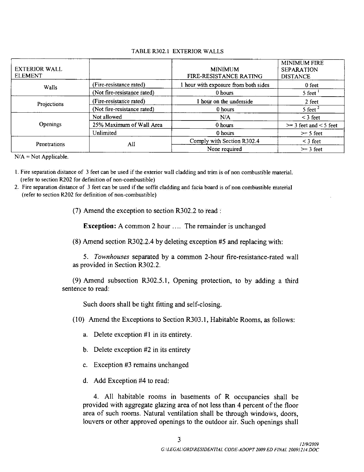#### TABLE R302.1 EXTERIOR WALLS

| <b>EXTERIOR WALL</b><br><b>ELEMENT</b> |                             | <b>MINIMUM</b><br>FIRE-RESISTANCE RATING | <b>MINIMUM FIRE</b><br><b>SEPARATION</b><br><b>DISTANCE</b> |
|----------------------------------------|-----------------------------|------------------------------------------|-------------------------------------------------------------|
| Walls                                  | (Fire-resistance rated)     | I hour with exposure from both sides     | 0 feet                                                      |
|                                        | (Not fire-resistance rated) | 0 hours                                  | 5 feet <sup>1</sup>                                         |
| Projections                            | (Fire-resistance rated)     | hour on the underside                    | 2 feet                                                      |
|                                        | (Not fire-resistance rated) | 0 hours                                  | $5$ feet $^2$                                               |
|                                        | Not allowed                 | N/A                                      | $<$ 3 feet                                                  |
| Openings                               | 25% Maximum of Wall Area    | 0 hours                                  | $\ge$ 3 feet and < 5 feet                                   |
|                                        | Unlimited                   | 0 hours                                  | $\ge$ 5 feet                                                |
| Penetrations                           | All                         | Comply with Section R302.4               | $<$ 3 feet                                                  |
|                                        |                             | None required                            | $\geq$ 3 feet                                               |

 $N/A = Not Applied.$ 

- 1. Fire separation distance of 3 feet can be used if the exterior wall cladding and trim is of non combustible material.<br>(refer to section R202 for definition of non-combustible)<br>2. Fire separation distance of 3 feet can b
- 2. Fire separation distance of 3 feet can be used if the soffit cladding and facia board is of non combustible material (refer to section R202 for definition of non-combustible)

(7) Amend the exception to section  $R302.2$  to read :

**Exception:** A common 2 hour .... The remainder is unchanged

 $(8)$  Amend section R302.2.4 by deleting exception #5 and replacing with:

5. Townhouses separated by a common 2-hour fire-resistance-rated wall as provided in Section R302.2.

 $(9)$  Amend subsection R302.5.1, Opening protection, to by adding a third sentence to read:

Such doors shall be tight fitting and self-closing.

 $(10)$  Amend the Exceptions to Section R303.1, Habitable Rooms, as follows:

- a. Delete exception  $#1$  in its entirety.
- b. Delete exception  $#2$  in its entirety
- c. Exception  $#3$  remains unchanged
- d. Add Exception  $#4$  to read:

4. All habitable rooms in basements of R occupancies shall be provided with aggregate glazing area of not less than 4 percent of the floor area of such rooms. Natural ventilation shall be through windows, doors, louvers or other approved openings to the outdoor air. Such openings shall Addentismus of Real and the Sazing area of not less than<br>all ventilation shall be the premings to the outdoor at 3<br>GERGALIORDERSIDENTIAL COL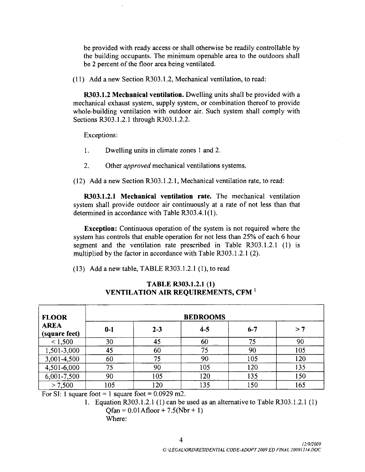be provided with ready access or shall otherwise be readily controllable by the building occupants. The minimum openable area to the outdoors shall be 2 percent of the floor area being ventilated.

 $(11)$  Add a new Section R303.1.2, Mechanical ventilation, to read:

**R303.1.2 Mechanical ventilation.** Dwelling units shall be provided with a mechanical exhaust system, supply system, or combination thereof to provide whole-building ventilation with outdoor air. Such system shall comply with Sections R303.1.2.1 through R303.1.2.2. (11) Add a new Section R303.1.2, Mech<br>
R303.1.2 Mechanical ventilation. D<br>
mechanical exhaust system, supply system<br>
whole-building ventilation with outdoor<br>
Sections R303.1.2.1 through R303.1.2.2.<br>
Fxcentions:

Exceptions

- Dwelling units in climate zones 1 and 2.
- 2. Other *approved* mechanical ventilations systems.

1. Dwelling units in climate zones 1 and 2.<br>2. Other *approved* mechanical ventilations systems.<br>(12) Add a new Section R303.1.2.1, Mechanical ventilation rate, to read:

**R303.1.2.1 Mechanical ventilation rate.** The mechanical ventilation system shall provide outdoor air continuously at a rate of not less than that determined in accordance with Table R303.4.1(1). (12) Add a new Section R303.1.2.<br>**R303.1.2.1 Mechanical vent**<br>system shall provide outdoor air c<br>determined in accordance with Tab 2. Other *approved* mechanical ventilations<br>(12) Add a new Section R303.1.2.1, Mechanical ve<br>R303.1.2.1 Mechanical ventilation rate. T<br>system shall provide outdoor air continuously at a<br>determined in accordance with Table

system shall provide outdoor air continuously at a rate of not less than that<br>determined in accordance with Table R303.4.1(1).<br>**Exception:** Continuous operation of the system is not required where the<br>system has controls t **Exception:** Continuous operation of the system is not required where the Exception: Commods operation of the system is not required where the<br>system has controls that enable operation for not less than 25% of each 6 hour determined in accordance with Table R303.4.1(1).<br> **Exception:** Continuous operation of the system is not requisystem has controls that enable operation for not less than 25% of segment and the ventilation rate prescribed Exception: Committed September of the system has controls that enable operation for not less the<br>segment and the ventilation rate prescribed in T<br>multiplied by the factor in accordance with Table R30.<br>(13) Add a new table,

| <b>FLOOR</b>                                                                                                                                                                                 | <b>BEDROOMS</b> |         |               |                                                                |           |  |  |  |  |  |
|----------------------------------------------------------------------------------------------------------------------------------------------------------------------------------------------|-----------------|---------|---------------|----------------------------------------------------------------|-----------|--|--|--|--|--|
| <b>AREA</b><br>(square feet)                                                                                                                                                                 | $0-1$           | $2 - 3$ | $\ddot{4}$ -5 | $6 - 7$                                                        | >7        |  |  |  |  |  |
| < 1,500                                                                                                                                                                                      | 30              | 45      | 60            | 75                                                             | 90        |  |  |  |  |  |
| 1,501-3,000                                                                                                                                                                                  | 45              | 60      | 75            | 90                                                             | 105       |  |  |  |  |  |
| 3,001-4,500                                                                                                                                                                                  | 60              | 75      | 90            | 105                                                            | 120       |  |  |  |  |  |
| 4,501-6,000                                                                                                                                                                                  | 75              | 90      | 105           | 120                                                            | 135       |  |  |  |  |  |
| 6,001-7,500                                                                                                                                                                                  | 90              | 105     | 120           | 135                                                            | 150       |  |  |  |  |  |
| > 7,500                                                                                                                                                                                      | 105             | 120     | 135           | 150                                                            | 165       |  |  |  |  |  |
| For SI: 1 square foot = 1 square foot = $0.0929$ m2.<br>Equation R303.1.2.1 (1) can be used as an alternative to Table R303.1.2.1 (1)<br>1.<br>$Qfan = 0.01$ Afloor + 7.5(Nbr + 1)<br>Where: |                 |         |               |                                                                |           |  |  |  |  |  |
|                                                                                                                                                                                              |                 |         | 4             | G.\LEGAL\ORD\RESIDENTIAL CODE-ADOPT 2009 ED FINAL 20091214.DOC | 12/9/2009 |  |  |  |  |  |

# ha the Ventillation rate prescribed in Table R30<br>by the factor in accordance with Table R303.1.2.1 (2)<br>rew table, TABLE R303.1.2.1 (1), to read<br>**TABLE R303.1.2.1 (1)**<br>**VENTILATION AIR REQUIREMENTS, CFM**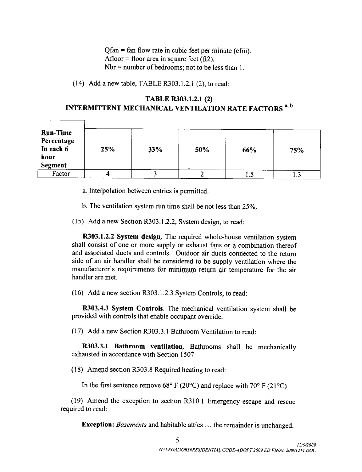$Qfan = fan flow rate in cubic feet per minute (cfm).$ Afloor = floor area in square feet  $ft2$ . Nbr = number of bedrooms; not to be less than 1. Qfan = fan flow rate in cubic fe<br>Afloor = floor area in square fe<br>Nbr = number of bedrooms; no<br>(14) Add a new table, TABLE R303.1.2.1

 $(2)$ , to read:

# Throof the insquare feet  $(12)$ .<br>
Nbr = number of bedrooms; not to be less than 1.<br>
(14) Add a new table, TABLE R303.1.2.1 (2), to read:<br> **TABLE R303.1.2.1 (2)**<br> **INTERMITTENT MECHANICAL VENTILATION RATE FACTORS**<sup>4, b</sup>

| <b>Run-Time</b><br>Percentage<br>In each 6<br>hour<br><b>Segment</b> | 25% | 33% | 50% | 66% | 75% |
|----------------------------------------------------------------------|-----|-----|-----|-----|-----|
| Factor                                                               |     |     |     | L.J | 1.J |

a Interpolation between entries is permitted

- b. The ventilation system run time shall be not less than  $25\%$ .
- 15 Add a new Section R303.1.2.2, System design, to read<br>
15 Add a new Section R303.1.2.2, System design, to read<br>
15 Add a new Section R303.1.2.2, System design, to read<br>
15 R303.1.2.2 System design. The required whole-hou

b. The vent<br> $\overline{)}$  Add a ne<br> $\overline{R}$ 303.1.2.2<br> $\overline{)}$  consist o System design. The required whole-house ventilation system shall consist of one or more supply or exhaust fans or <sup>a</sup> combination thereof and associated ducts and controls Outdoor air ducts connected to the return side of an air handler shall be considered to be supply ventilation where the<br>side of an air handler shall be considered to be supply ventilation where the<br>manufacturer's requirements for minimum return air temperature for b. The ventilation system run time shall be not less than 25%.<br>
(15) Add a new Section R303.1.2.2, System design, to read:<br> **R303.1.2.2 System design**. The required whole-house ventilation system<br>
shall consist of one or m handler are met

(16) Add a new section R303.1.2.3 System Controls, to read:<br> **R303.4.3 System Controls**. The mechanical ventilation system shall be provided with controls that enable occupant ovemde

(17) Add a new Section R303.3.1 Bathroom Ventilation to read:

R303.3.1 Bathroom ventilation. Bathrooms shall be mechanically exhausted in accordance with Section 1507

 $(18)$  Amend section R303.8 Required heating to read:

Amend section R303.8 Required heating to read:<br>In the first sentence remove 68° F (20°C) and replace with 70° F (21°C)

In the first sentence remove 68° F (20°C) and replace with 70° F (21°C)<br>(19) Amend the exception to section R310.1 Emergency escape and rescue<br>tired to read: required to read section R310.1 Emerg<br>habitable attics ... the r<br> $5$ <br> $G:UEGALORDURESIDENTIAL$  C

Exception: Basements and habitable attics ... the remainder is unchanged.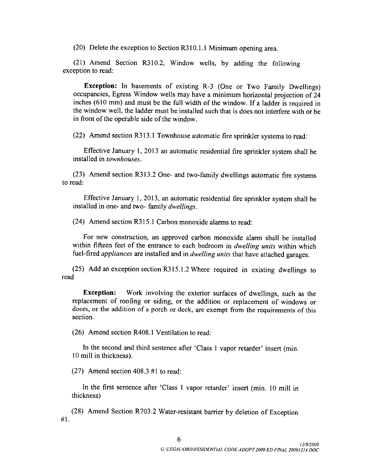(20) Delete the exception to Section R310.1.1 Minimum opening area.

(20) Delete the exception to Section R310.1.1 Minimum opening area.<br>(21) Amend Section R310.2, Window wells, by adding the following eption to read: exception to read

**Exception:** In basements of existing  $R-3$  (One or Two Family Dwellings) occupancies, Egress Window wells may have a minimum horizontal projection of 24 inches (610 mm) and must be the full width of the window. If a ladder is required in the window well, the ladder must be installed such that is does not interfere with or be in front of the operable side of the window.

 $(22)$  Amend section R313.1 Townhouse automatic fire sprinkler systems to read:

Effective January 1, 2013 an automatic residential fire sprinkler system shall be installed in townhouses.

(23) Amend section R313.2 One- and two-family dwellings automatic fire systems to read

Effective January 1, 2013, an automatic residential fire sprinkler system shall be installed in one- and two-family dwellings.

(24) Amend section R315.1 Carbon monoxide alarms to read:

For new construction, an approved carbon monoxide alarm shall be installed For hew construction, an approved carbon monoxide atain shall be installed within fifteen feet of the entrance to each bedroom in *dwelling units* within which fuel-fired *appliances* are installed and in *dwelling units* fuel-fired *appliances* are installed and in *dwelling units* that have attached garages.

read

**Exception:** Work involving the exterior surfaces of dwellings, such as the replacement of roofing or siding or the addition or replacement of windows or doors, or the addition of a porch or deck, are exempt from the requirements of this section.

 $(26)$  Amend section R408.1 Ventilation to read:

In the second and third sentence after 'Class 1 vapor retarder' insert (min. <sup>10</sup> mill in thickness

 $(27)$  Amend section 408.3 #1 to read:

In the first sentence after 'Class 1 vapor retarder' insert (min. 10 mill in thickness

 $#1.$ (28) Amend Section R703.2 Water-resistant barrier by deletion of Exception Water-resistant barrier by deletion of Exception<br>6<br>GNLEGALNORDIRESIDENTIAL CODE-ADOPT 2009 ED FINAL 20091214 DOC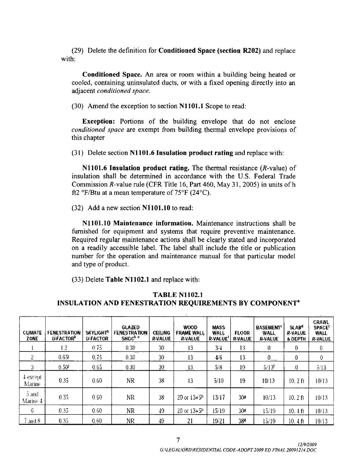(29) Delete the definition for **Conditioned Space (section R202)** and replace with:

Conditioned Space An area or room within a building being heated or cooled, containing uninsulated ducts, or with a fixed opening directly into an adjacent *conditioned space*.<br>(30) Amend the exception to section N1101.1 Scope to read: adjacent conditioned space.

**Exception:** Portions of the building envelope that do not enclose conditioned space are exempt from building thermal envelope provisions of this chapter conditioned space are exempt from building thermal envelope provision<br>this chapter<br>(31) Delete section N1101.6 Insulation product rating and replace with:

chapter<br>
Delete section N1101.6 Insulation product rating and replace with:<br>
N1101.6 Insulation product rating. The thermal resistance (*R*-value) of<br>
llation shall be determined in accordance with the U.S. Federal Trade  $\overline{N1101.6}$  Insulation product rating. The thermal resistance  $(R$ -value) of insulation shall be determined in accordance with the U.S. Federal Trade Commission R-value rule (CFR Title 16, Part 460, May 31, 2005) in units of h ft2  $\mathrm{F/B}$ tu at a mean temperature of 75 $\mathrm{F}$  (24 $\mathrm{C}$ ).

 $(32)$  Add a new section N1101.10 to read:

N1101.10 Maintenance information. Maintenance instructions shall be furnished for equipment and systems that require preventive maintenance Required regular maintenance actions shall be clearly stated and incorporated on <sup>a</sup> readily accessible label The label shall include the title or publication number for the operation and maintenance manual for that particular model and type of product. on a readily accessible rabel. The rabel sha<br>number for the operation and maintenance<br>and type of product.<br>(33) Delete Table N1102.1 and replace with:

and type of product.<br>
(33) Delete Table N1102.1 and replace with:<br> **TABLE N1102.1**<br> **INSULATION AND FENESTRATION REQUIREMENTS BY COMPONENT<sup>a</sup>** 

| <b>CLIMATE</b><br>ZONE | <b>FENESTRATION</b><br><b>U-FACTOR</b> | <b>SKYLIGHT<sup>D</sup></b><br><b>U-FACTOR</b> | <b>GLAZED</b><br><b>FENESTRATION</b><br>SHGC <sup>b.e.</sup> | <b>CEILING</b><br><b>R-VALUE</b> | <b>WOOD</b><br><b>FRAME WALL</b><br><b>R-VALUE</b>                  | <b>MASS</b><br><b>WALL</b><br>R-VALUE <sup>1</sup> | <b>FLOOR</b><br><b>R-VALUE</b> | <b>BASEMENT<sup>¢</sup></b><br><b>WALL</b><br><b>R-VALUE</b> | SLAB <sup>d</sup><br><b>R-VALUE</b><br><b>&amp; DEPTH</b> | <b>CRAWL</b><br><b>SPACE<sup>t</sup></b><br><b>WALL</b><br><b>R-VALUE</b> |
|------------------------|----------------------------------------|------------------------------------------------|--------------------------------------------------------------|----------------------------------|---------------------------------------------------------------------|----------------------------------------------------|--------------------------------|--------------------------------------------------------------|-----------------------------------------------------------|---------------------------------------------------------------------------|
|                        | 1.2                                    | 0.75                                           | 0.30                                                         | 30                               | 13                                                                  | 3/4                                                | 13                             | 0                                                            | 0                                                         | Û                                                                         |
| 2                      | 0.65                                   | 0.75                                           | 0.30                                                         | 30                               | 13                                                                  | 4/6                                                | 13                             | $0$ <sub>--</sub>                                            | Ũ                                                         | $\theta$                                                                  |
| 3                      | 0.50 <sup>1</sup>                      | 0.65                                           | 0.30                                                         | 30                               | 13                                                                  | 5/8                                                | 19                             | $5/13^{f}$                                                   | 0                                                         | 5/13                                                                      |
| 4 except<br>Marine     | 0.35                                   | 0.60                                           | <b>NR</b>                                                    | 38                               | 13                                                                  | 5/10                                               | 19                             | 10/13                                                        | 10.2f <sub>1</sub>                                        | 10/13                                                                     |
| 5 and<br>Marine 4      | 0.35                                   | 0.60                                           | NR                                                           | 38                               | $20$ or $13 + 5h$                                                   | 13/17                                              | 304                            | 10/13                                                        | $10.2 \text{ ft}$                                         | 10/13                                                                     |
| 6                      | 0.35                                   | 0.60                                           | NR                                                           | 49                               | $20$ or $13+5h$                                                     | 15/19                                              | 304                            | 15/19                                                        | $10.4$ ft                                                 | 10/13                                                                     |
| $7$ and $8$            | 0.35                                   | 0.60                                           | <b>NR</b>                                                    | 49                               | 21                                                                  | 19/21                                              | 38ª                            | 15/19                                                        | $10, 4 \text{ ft}$                                        | 10/13                                                                     |
|                        |                                        |                                                |                                                              |                                  | 7<br>G:\LEGAL\ORD\RESIDENTIAL CODE-ADOPT 2009 ED FINAL 20091214.DOC |                                                    |                                |                                                              | 12/9/2009                                                 |                                                                           |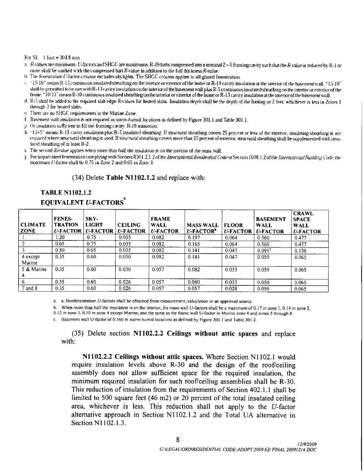#### For SI: 1 foot =  $304.8$  mm.

- storeship to the marked pinal be matter in SNGC and SHGC are maximums. R-19 batts compressed into a nominal st<br>R-values are minimums. U-factors and SHGC are maximums. R-19 batts compressed into a nominal<br>The fouetication o
- more shall be marked with the compressed batt  $R$ -value in addition to the full thickness  $R$ -value.<br>b. The fenestration  $L$ -factor column excludes skylights. The SHGC column applies to all glazed fenestration.
- For SI: 1 foot = 304.8 mm.<br>
a. *R*-values are minimums. *U*-factors and SHGC are maximums. R-19 batts<br>
more shall be marked with the compressed batt *R*-value in addition to the<br>
b. The fenestration *U*-factor column excl batts compressed into a nominal 2 × 6 framing cavity such that the R-value is reduced by R-1 or<br>olumn applies to all glazede.<br>column applies to all glazed fenestration.<br>or exterior of the home or R-19 cavity insulation at  $c.$  "15/19" means R-15 continuous insulated sheathing on the interior or exterior of the home or R-19 cavity insulation at the interior of the basement wall. "15/19" shall be permitted *K*-values are minimums. *U*-factors and SHGC are maximums. R-19 batts compressed into a nominal 2 × 6 framing cavity such that the *R*-value is reduced by R-1 or<br>more shall be marked with the compressed batt *R*-value in d. The fenestration *t*-factor column excludes skylights. The SHGC column applies to all glazed fenestration.<br>
c. "15/19" means R-15 continuous insulated sheathing on the interior or exterior of the home or R-19 cavity ins For SI: 1 foot = 304.8 mm.<br>
a. *R*-values are minimums. *U*-factors and SHGC are maxi<br>
more shall be marked with the compressed bait *R*-value<br>
b. The fenestration *U*-factor column excludes skylights.<br>
c. "15/19" means f 1a to "livens iversecutively station is mailined stealining on the interior of exterior of the home in K-13 cavity insulation is from the interior of the basement wall plus R-5 continuous insulated stome. "10/13" means R
- 
- 
- f. Basement wall insulation is not required in warm-humid locations as defined by Figure 301.1 and Table 301.1.<br>2. Or insulation sufficient to fill the framing cavity, R-19 minimum.
- 
- here is the state of the required state engines and engine and engines in method sheathing of the depth of the rooting or z teet, whichever is less in Zones I<br>intervaly 3 for heated slabs.<br>F. Basement wall insulation is no required where structural sheathing is used. If structural sheathing covers more than 25 percent of exterior, structural sheathing shall be supplemented with insusheather are in SHGC requirements in the Marine Zone.<br>
F. Basement wall insulation is not required in warm-humid locations as defined by Figure 301.1 and<br>
2. Or insulation sufficient to fill the framing cavity. R-19 minim mm.<br>
us. *U*-factors and SHGC are maximums. R-19 batts compressed in<br>
with the compressed batt R-value in addition to the full thicknes<br>
net continuous insulated sheathing on the Interior or exterior of the hore<br>
net with The fenestration  $U_2$ <br>
"15/19" means  $R$ -15<br>
shall be permitted to<br>
home. "10/13" mean<br>  $R$ -5 shall be added to<br>
through 3 for heater<br>
There are no SHGC<br>
Basement wall insular<br>
Or insulation suffici<br>
"13+5" means  $R$ -13<br> Example 1 and the R-value is reduced by R-1 or ulation at the interior of the basement wall. "15/19" is insulated sheathing on the interior of exterior of the maximum is insulation at the interior of the basement wall.<br>Th
- 
- PnrlmpactratedfencstrationcompJying f *R-*value applies when more than half the insulation<br>rated fenestration complying with Section R301.2.1.2<br>U-factor shall be 0.75 in Zone 2 and 0.65 in Zone 3. and the sheathing of at least R-2.<br>
i. The second *R*-value applies when more than half the insulation is on the interlor of the mass wall.<br>
j. For languar rated fenestration complying with Section R301.2.1.2 of the *Inte*

#### **TABLE N1102.1.2**

| For SI: 1 foot = $304.8$ mm.        |                                                                        |                                                       |                                                                               |                                                                    |                                                                                                                                                                                                                       |                                                  |                                                                                            | a. R-values are minimums. U-factors and SHGC are maximums. R-19 batts compressed into a nominal 2 x 6 framing cavity such that the R-value is reduced by R-1 or                                                                                                                                                                                                                                                                                                                                                                                                                                                                                                                              |
|-------------------------------------|------------------------------------------------------------------------|-------------------------------------------------------|-------------------------------------------------------------------------------|--------------------------------------------------------------------|-----------------------------------------------------------------------------------------------------------------------------------------------------------------------------------------------------------------------|--------------------------------------------------|--------------------------------------------------------------------------------------------|----------------------------------------------------------------------------------------------------------------------------------------------------------------------------------------------------------------------------------------------------------------------------------------------------------------------------------------------------------------------------------------------------------------------------------------------------------------------------------------------------------------------------------------------------------------------------------------------------------------------------------------------------------------------------------------------|
| through 3 for heated slabs.         |                                                                        |                                                       |                                                                               |                                                                    | more shall be marked with the compressed batt $R$ -value in addition to the full thickness $R$ -value.<br>b. The fenestration U-factor column excludes skylights. The SHGC column applies to all glazed fenestration. |                                                  |                                                                                            | c. "15/19" means R-15 continuous insulated sheathing on the interior or exterior of the home or R-19 cavity insulation at the interior of the basement wall. "15/19"<br>shall be permitted to be met with R-13 cavity insulation on the interior of the basement wall plus R-5 continuous insulated sheathing on the interior or exterior of the<br>home. "10/13" means R-10 continuous insulated sheathing on the interior or exterior of the home or R-13 cavity insulation at the interior of the basement wall.<br>d. R-5 shall be added to the required slab edge R-values for heated slabs. Insulation depth shall be the depth of the footing or 2 feet, whichever is less in Zones 1 |
|                                     | lated sheathing of at least R-2.                                       | e. There are no SHGC requirements in the Marine Zone. | g. Or insulation sufficient to fill the framing cavity, R-19 minimum.         |                                                                    | f. Basement wall insulation is not required in warm-humid locations as defined by Figure 301.1 and Table 301.1.                                                                                                       |                                                  |                                                                                            | h. "13+5" means R-13 cavity insulation plus R-5 insulated sheathing. If structural sheathing covers 25 percent or less of the exterior, insulating sheathing is not<br>required where structural sheathing is used. If structural sheathing covers more than 25 percent of exterior, structural sheathing shall be supplemented with insu-                                                                                                                                                                                                                                                                                                                                                   |
|                                     |                                                                        |                                                       | maximum U-factor shall be 0.75 in Zone 2 and 0.65 in Zone 3.                  | (34) Delete Table N1102.1.2 and replace with:                      | i. The second R-value applies when more than half the insulation is on the interior of the mass wall.                                                                                                                 |                                                  |                                                                                            | j. For impact rated fenestration complying with Section R301.2.1.2 of the International Residential Code or Section 1608.1.2 of the International Building Code, the                                                                                                                                                                                                                                                                                                                                                                                                                                                                                                                         |
|                                     | <b>TABLE N1102.1.2</b><br>FENES-                                       | <b>EQUIVALENT U-FACTORS</b><br>SKY-                   |                                                                               | <b>FRAME</b>                                                       |                                                                                                                                                                                                                       |                                                  | <b>BASEMENT</b>                                                                            | <b>CRAWL</b><br><b>SPACE</b>                                                                                                                                                                                                                                                                                                                                                                                                                                                                                                                                                                                                                                                                 |
| <b>CLIMATE</b><br>ZONE              | <b>TRATION</b><br><b>U-FACTOR</b><br>1.20<br>$\overline{0.65}$<br>0.50 | <b>LIGHT</b><br>0.75<br>0.75<br>0.65<br>0.60          | <b>CEILING</b><br>$ U_0FACTOR U_0FACTOR $<br>0.035<br>0.035<br>0.035<br>0.030 | <b>WALL</b><br><b>U-FACTOR</b><br>0.082<br>0.082<br>0.082<br>0.082 | <b>MASS WALL</b><br>$U$ -FACTOR <sup>b</sup><br>0.197<br>0.165<br>0.141<br>0.141                                                                                                                                      | <b>FLOOR</b><br>0.064<br>0.064<br>0.047<br>0.047 | <b>WALL</b><br><b>U-FACTOR   U-FACTOR</b><br>0.360<br>0.360<br>0.091 <sup>c</sup><br>0.059 | <b>WALL</b><br><b>U-FACTOR</b><br>0.477<br>0.477<br>0.136<br>0.065                                                                                                                                                                                                                                                                                                                                                                                                                                                                                                                                                                                                                           |
| 4 except                            | 0.35                                                                   |                                                       |                                                                               | 0.057                                                              | 0.082                                                                                                                                                                                                                 | 0.033                                            | 0.059                                                                                      |                                                                                                                                                                                                                                                                                                                                                                                                                                                                                                                                                                                                                                                                                              |
| Marine<br>5 & Marine<br>$7$ and $8$ | 0.35<br>0.35<br>0.35                                                   | 0.60<br>0.60<br>0.60                                  | 0.030<br>0.026<br>0.026                                                       | 0.057<br>0.057                                                     | 0.060<br>0.057<br>a. a. Nonfenestration U-factors shall be obtained from measurement, calculation or an approved source.                                                                                              | 0.033<br>0.028                                   | 0.050<br>0.050                                                                             | 0.065<br>0.065<br>0.065                                                                                                                                                                                                                                                                                                                                                                                                                                                                                                                                                                                                                                                                      |

require insulation levels above  $R-30$  and the design of the roof/ceiling assembly does not allow sufficient space for the required insulation, the minimum required insulation for such roof/ceiling assemblies shall be  $R-30$ . require insulation levels above R-30 and the design of the roof/ceiling<br>assembly does not allow sufficient space for the required insulation, the<br>minimum required insulation for such roof/ceiling assemblies shall be<br>R-30. assembly does not allow sufficient space for the required insulation, the minimum required insulation from the requirements of Section 402.1.1 shall be limited to 500 square feet (46 m2) or 20 percent of the total insulat This reduction of i<br>
limited to 500 squarea, whichever is<br>
alternative approaches<br>
Section N1102.1.3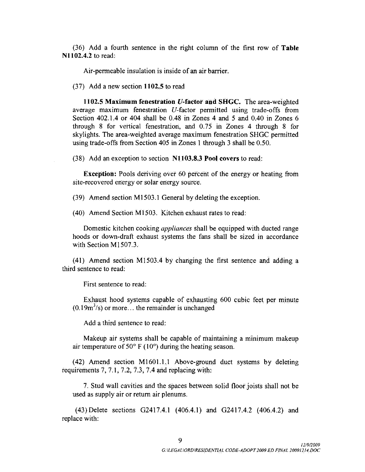36 Add a fourth sentence in the right column of the first row of Table  $N1102.4.2$  to read:

Air-permeable insulation is inside of an air barrier.

 $(37)$  Add a new section 1102.5 to read

1102.5 Maximum fenestration U-factor and SHGC. The area-weighted<br>1102.5 Maximum fenestration U-factor and SHGC. The area-weighted<br>rage maximum fenestration U-factor permitted using trade-offs from (37) Add a new section 1102.5 to read<br>
1102.5 Maximum fenestration U-factor and SHGC. The area-weighted<br>
average maximum fenestration U-factor permitted using trade-offs from<br>
Section 402.1.4 or 404 shall be 0.48 in Zones Section 402.1.4 or 404 shall be 0.48 in Zones 4 and 5 and 0.40 in Zones 6 through 8 for vertical fenestration, and 0.75 in Zones 4 through 8 for through 8 for vertical fenestration, and  $0.75$  in Zones 4 through 8 for skylights. The area-weighted average maximum fenestration SHGC permitted using trade-offs from Section 405 in Zones 1 through 3 shall be 0.50.<br>(38) skylights. The area-weighted average maximum fenestration SHGC permitted using trade-offs from Section 405 in Zones 1 through 3 shall be 0.50.

**Exception:** Pools deriving over 60 percent of the energy or heating from site-recovered energy or solar energy source.

(39) Amend section M1503.1 General by deleting the exception.

 $(40)$  Amend Section M1503. Kitchen exhaust rates to read:

Domestic kitchen cooking *appliances* shall be equipped with ducted range Domestic kitchen cooking *appliances* shall be equipped with ducted range<br>hoods or down-draft exhaust systems the fans shall be sized in accordance Domestic kitchen co<br>hoods or down-draft exith Section M1507.3. with Section M1507.3.<br>(41) Amend section M1503.4 by changing the first sentence and adding a

third sentence to read

First sentence to read:

Exhaust hood systems capable of exhausting 600 cubic feet per minute d sentence to read:<br>First sentence to read:<br>Exhaust hood systems capable of exhausting<br>(0.19m<sup>3</sup>/s) or more... the remainder is unchanged<br>Add a third sentence to read:

Add a third sentence to read

Makeup air systems shall be capable of maintaining <sup>a</sup> minimum makcup air temperature of  $50^{\circ}$  F (10°) during the heating season. Makeup air systems shall be capable of maintaining a minimum makeup<br>air temperature of  $50^{\circ}$  F (10°) during the heating season.<br>(42) Amend section M1601.1.1 Above-ground duct systems by deleting<br>uirements  $7, 7.1, 7.2,$ 

(42) Amend section M1601.1.1 Above-ground duct systems by deleting requirements 7, 7.1, 7.2, 7.3, 7.4 and replacing with:

7 Stud wall cavities and the spaces between solid floorjoists shall not be used as supply air or return air plenums. 7. Stud wall cavities and the spaces between solid floor joists shall not be used as supply air or return air plenums.<br>(43) Delete sections G2417.4.1 (406.4.1) and G2417.4.2 (406.4.2) and use with:

replace with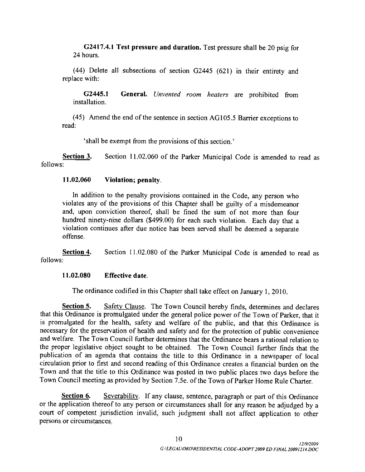G2417.4.1 Test pressure and duration. Test pressure shall be 20 psig for 24 hours

(44) Delete all subsections of section G2445 (621) in their entirety and replace with: Delete all subsections of section G2445 (621) in their entirety and with:<br>G2445.1 General. Unvented room heaters are prohibited from allation.

installation 445.1 General. Unvented room heaters are prohibited from installation.<br>(45) Amend the end of the sentence in section AG105.5 Barrier exceptions to

read

shall be exempt from the provisions of this section

Section 3. Section 11.02.060 of the Parker Municipal Code is amended to read as follows

#### $11.02.060$  Violation; penalty.

In addition to the penalty provisions contained in the Code, any person who violates any of the provisions of this Chapter shall be guilty of <sup>a</sup> misdemeanor and, upon conviction thereof, shall be fined the sum of not more than four hundred ninety-nine dollars (\$499.00) for each such violation. Each day that a violation continues after due notice has been served shall be deemed a separate offense

Section 4. Section 11.02.080 of the Parker Municipal Code is amended to read as follows:

#### $11.02.080$  Effective date.

The ordinance codified in this Chapter shall take effect on January 1, 2010.

11.02.080 Effective date.<br>
The ordinance codified in this Chapter shall take effect on January 1, 2010.<br>
Section 5. Safety Clause. The Town Council hereby finds, determines and declares<br>
that this Ordinance is promulgated is promulgated for the health, safety and welfare of the public, and that this Ordinance is necessary for the preservation of health and safety and for the protection of public convenience and welfare. The Town Council further determines that the Ordinance bears a rational relation to the proper legislative object sought to be obtained. The Town Council further finds that the publication of an agenda that contains the title to this Ordinance in <sup>a</sup> newspaper of local circulation prior to first and second reading of this Ordinance creates a financial burden on the Town and that the title to this Ordinance was posted in two public places two days before the Town Council meeting as provided by Section 7Se ofthe Town ofParker Home Rule Charter

Section 6. Severability. If any clause, sentence, paragraph or part of this Ordinance or the application thereof to any person or circumstances shall for any reason be adjudged by <sup>a</sup> court of competent jurisdiction invalid, such judgment shall not affect application to other persons or circumstances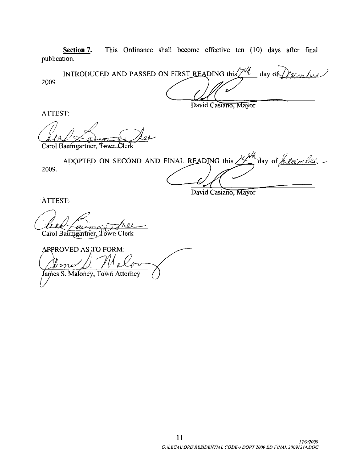Section 7. This Ordinance shall become effective ten (10) days after final publication.

INTRODUCED AND PASSED ON FIRST READING this  $\frac{\gamma u}{\gamma}$  day of  $\gamma$  eq. in let 2009

David Casiano, Mayor

David Casiano, Mayor

ATTEST

Carol Baumgartner, Fewn Clerk

2009 ADOPTED ON SECOND AND FINAL READING this  $\frac{1}{4}$  day of *Leanbel* 

ATTEST:  $\frac{1}{2}$ Carol Baumgartner, Town Clerk

ARPROVED AS TO FORM: nub James S. Maloney, Town Attorney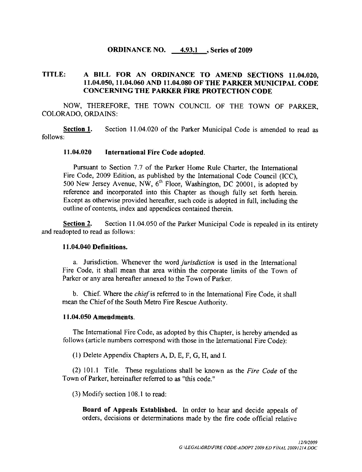#### **ORDINANCE NO.** 4.93.1, Series of 2009

# TITLE: A BILL FOR AN ORDINANCE TO AMEND SECTIONS 11.04.020,<br>11.04.050, 11.04.060 AND 11.04.080 OF THE PARKER MUNICIPAL CODE A BILL FOR AN ORDINANCE TO AMEND SECTIONS 11.04.020,<br>11.04.050, 11.04.060 AND 11.04.080 OF THE PARKER MUNICIPAL CODE<br>CONCERNING THE PARKER FIRE PROTECTION CODE CONCERNING THE PARKER FIRE PROTECTION CODE

NOW, THEREFORE, THE TOWN COUNCIL OF THE TOWN OF PARKER. COLORADO, ORDAINS:

**Section 1.** Section 11.04.020 of the Parker Municipal Code is amended to read as follows

#### 11.04.020 International Fire Code adopted.

Pursuant to Section 7.7 of the Parker Home Rule Charter, the International Fire Code, 2009 Edition, as published by the International Code Council (ICC). 500 New Jersey Avenue, NW,  $6<sup>th</sup>$  Floor, Washington, DC 20001, is adopted by reference and incorporated into this Chapter as though fully set forth herein Except as otherwise provided hereafter, such code is adopted in full, including the outline of contents, index and appendices contained therein.

Section 2. Section 11.04.050 of the Parker Municipal Code is repealed in its entirety and readopted to read as follows

#### 11.04.040 Definitions.

a. Jurisdiction. Whenever the word *jurisdiction* is used in the International Fire Code, it shall mean that area within the corporate limits of the Town of Parker or any area hereafter annexed to the Town of Parker.

b. Chief. Where the *chief* is referred to in the International Fire Code, it shall mean the Chief of the South Metro Fire Rescue Authority.

#### 11.04.050 Amendments.

The International Fire Code, as adopted by this Chapter, is hereby amended as follows (article numbers correspond with those in the International Fire Code):

(1) Delete Appendix Chapters A, D, E, F, G, H, and I.

 $(2)$  101.1 Title. These regulations shall be known as the *Fire Code* of the Town of Parker, hereinafter referred to as "this code."

 $(3)$  Modify section 108.1 to read:

Board of Appeals Established. In order to hear and decide appeals of orders, decisions or determinations made by the fire code official relative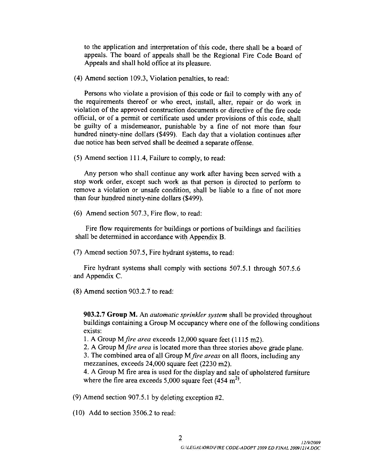to the application and interpretation of this code, there shall be a board of appeals The board of appeals shall be the Regional Fire Code Board of Appeals and shall hold office at its pleasure

 $(4)$  Amend section 109.3, Violation penalties, to read:

Persons who violate a provision of this code or fail to comply with any of (4) Amend section 109.3, Violation penalties, to read:<br>Persons who violate a provision of this code or fail to comply with any of<br>the requirements thereof or who erect, install, alter, repair or do work in<br>violation of the violation of the approved construction documents or directive ofthe fire code official, or of a permit or certificate used under provisions of this code, shall be guilty of a misdemeanor, punishable by a fine of not more than four hundred ninety-nine dollars (\$499). Each day that a violation continues after due notice has been served shall be deemed a separate offense.<br>(5) Amend section 111.4, Failure to comply, to read:

Any person who shall continue any work after having been served with <sup>a</sup> stop work order except such work as that person is directed to perform to remove a violation or unsafe condition, shall be liable to a fine of not more remove a violation or unsafe condition, sha<br>than four hundred ninety-nine dollars (\$499). than four hundred ninety-nine dollars (\$499)<br>(6) Amend section 507.3, Fire flow, to read:

Fire flow requirements for buildings or portions of buildings and facilities shall be determined in accordance with Appendix B

 $(7)$  Amend section 507.5, Fire hydrant systems, to read:

Fire hydrant systems shall comply with sections  $507.5.1$  through  $507.5.6$ and Appendix C

 $(8)$  Amend section 903.2.7 to read:

Amend section 903.2.7 to read:<br> **903.2.7 Group M.** An *automatic sprinkler system* shall be provided throughout<br>
buildings containing a Group M occupancy where one of the following conditions exists:

1. A Group M *fire area* exceeds  $12,000$  square feet  $(1115 \text{ m2})$ .

2. A Group M *fire area* is located more than three stories above grade plane.

3. The combined area of all Group M fire areas on all floors, including any mezzanines, exceeds  $24,000$  square feet  $(2230 \text{ m2})$ .

4. A Group M fire area is used for the display and sale of upholstered furniture mezzanines, exceeds 24,000 square feet (2230 m2).<br>4. A Group M fire area is used for the display and sale<br>where the fire area exceeds 5,000 square feet (454 m<sup>2)</sup>. where the fire area exceeds 5,000 square feet  $(454 \text{ m}^2)$ .

(9) Amend section 907.5.1 by delet:<br>(10) Add to section 3506.2 to read: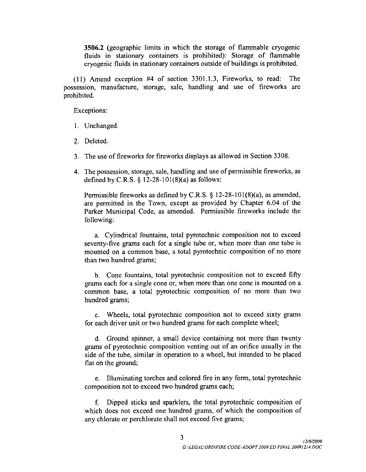3506.2 (geographic limits in which the storage of flammable cryogenic<br>fluids in stationary containers is prohibited): Storage of flammable cryogenic fluids in stationary containers outside of buildings is prohibited. imits in which the storage of flammable cryogenic<br>containers is prohibited): Storage of flammable<br>tionary containers outside of buildings is prohibited.<br>#4 of section 3301.1.3, Fireworks, to read: The<br>torage, sale, handlin

(11) Amend exception possession, manufacture, storage, sale, handling and use of fireworks are prohibited

Exceptions

- 1. Unchanged.
- 2. Deleted.
- 3. The use of fireworks for fireworks displays as allowed in Section 3308.
- 4. The possession, storage, sale, handling and use of permissible fireworks, as defined by C.R.S.  $\S$  12-28-101(8)(a) as follows: Unchanged.<br>
Deleted.<br>
The use of fireworks for fireworks displays as a<br>
The possession, storage, sale, handling and use of<br>
defined by C.R.S. § 12-28-101(8)(a) as follows:<br>
Permissible fireworks as defined by C.R.S. § 12<br>

Deleted.<br>The use of fireworks for fireworks displays as allowed in Section 3308.<br>The possession, storage, sale, handling and use of permissible fireworks, as<br>defined by C.R.S. § 12-28-101(8)(a) as follows:<br>Permissible fire Permissible fireworks as defined by C.R.S.  $\S$  12-28-101(8)(a), as amended, are permitted in the Town, except as provided by Chapter 6.04 of the Parker Municipal Code, as amended. Permissible fireworks include the following The posse<br>defined by<br>Permissib<br>are permi<br>Parker Mi<br>following<br>a. Cy<br>seventy-fi<br>mounted than two h

a. Cylindrical fountains, total pyrotechnic composition not to exceed ve grams each for a single tube or when more than one tube is mounted on a common base, a total pyrotechnic composition of no more than two hundred grams

b. Cone fountains, total pyrotechnic composition not to exceed fifty grams each for a single cone or, when more than one cone is mounted on a common base, a total pyrotechnic composition of no more than two hundred grams

c. Wheels, total pyrotechnic composition not to exceed sixty grams for each driver unit or two hundred grams for each complete wheel

d. Ground spinner, a small device containing not more than twenty grams of pyrotechnic composition venting out of an orifice usually in the side of the tube, similar in operation to a wheel, but intended to be placed flat on the <sup>g</sup>round

e. Illuminating torches and colored fire in any form, total pyrotechnic composition not to exceed two hundred grams each;

f. Dipped sticks and sparklers, the total pyrotechnic composition of which does not exceed one hundred grams, of which the composition of any chlorate or perchlorate shall not exceed five grams;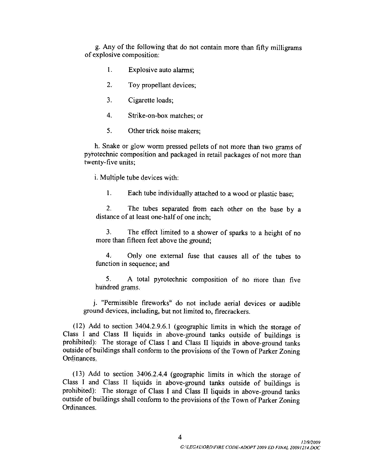g Any of the following that do riot contain more than fifty milligrams of explosive composition:

- 1. Explosive auto alarms;
- 2. Toy propellant devices;
- 3. Cigarette loads;
- 4. Strike-on-box matches; or
- 5. Other trick noise makers;

h. Snake or glow worm pressed pellets of not more than two grams of pyrotechnic composition and packaged in retail packages of not more than twenty-five units; twenty-five units;<br>i. Multiple tube devices with:

1. Each tube individually attached to a wood or plastic base:

2. The tubes separated from each other on the base by a distance of at least one-half of one inch:

3. The effect limited to a shower of sparks to a height of no more than fifteen feet above the ground

4. Only one external fuse that causes all of the tubes to function in sequence; and

5. A total pyrotechnic composition of no more than five hundred grams

j. "Permissible fireworks" do not include aerial devices or audible<br>und dovices including but not limited to financial series ground devices, including, but not limited to, firecrackers.

5. A total pyrotechnic composition of no more than five<br>hundred grams.<br>i. "Permissible fireworks" do not include aerial devices or audible<br>ground devices, including, but not limited to, firecrackers.<br>(12) Add to section 34  $(12)$  Add to section 3404.2.9.6.1 (geographic limits in which the storage of Class I and Class II liquids in above-ground tanks outside of buildings is outside of buildings shall conform to the provisions of the Town of Parker Zoning Ordinances Class 1 and Class II liquids in above-ground tanks outside of buildings is<br>prohibited): The storage of Class I and Class II liquids in above-ground tanks<br>outside of buildings shall conform to the provisions of the Town of

prohibited): The storage of Class I and Class II liquids in above-ground tanks outside of buildings shall conform to the provisions of the Town of Parker Zoning Ordinances provisions of the<br>|<br>|<br>G:\LEGAL\ORD\FIRE CC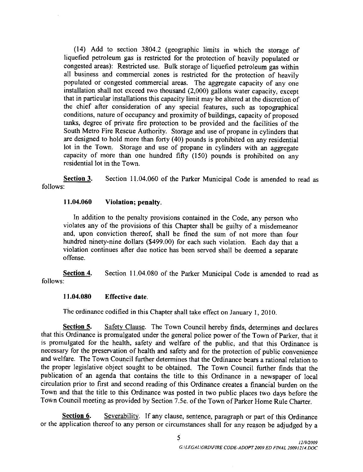(14) Add to section 3804.2 (geographic limits in which the storage of<br>efied netroleum gas is restricted for the protection of heavily populated or liquefied petroleum gas is restricted for the protection of heavily populated or congested areas): Restricted use. Bulk storage of liquefied petroleum gas within all business and commercial zones is restricted for the protection of heavily populated or congested commercial areas. The aggregate capacity of any one installation shall not exceed two thousand (2,000) gallons water capacity, except congested areas): Restricted use. Bulk storage of liquefied petroleum gas within all business and commercial zones is restricted for the protection of heavily populated or congested commercial areas. The aggregate capacity the chief after consideration of any special features, such as topographical conditions, nature of occupancy and proximity of buildings, capacity of proposed tanks, degree of private fire protection to be provided and the facilities of the South Metro Fire Rescue Authority. Storage and use of propane in cylinders that are designed to hold more than forty 40 pounds is prohibited on any residential lot in the Town. Storage and use of propane in cylinders with an aggregate capacity of more than one hundred fifty (150) pounds is prohibited on any residential lot in the Town

Section 3. Section 11.04.060 of the Parker Municipal Code is amended to read as follows

#### $11.04.060$  Violation; penalty.

In addition to the penalty provisions contained in the Code, any person who violates any of the provisions of this Chapter shall be guilty of a misdemeanor and, upon conviction thereof, shall be fined the sum of not more than four hundred ninety-nine dollars (\$499.00) for each such violation. Each day that a violation continues after due notice has been served shall be deemed a separate violation continues after due notice has been served shall be deemed <sup>a</sup> separate offense and, upon conviction thereof, shall be fined the sum of not more than four<br>hundred ninety-nine dollars (\$499.00) for each such violation. Each day that a<br>violation continues after due notice has been served shall be deemed

follows

#### $11.04.080$  Effective date.

The ordinance codified in this Chapter shall take effect on January 1,  $2010$ .

Section 5. Safety Clause. The Town Council hereby finds, determines and declares that this Ordinance is promulgated under the general police power of the Town of Parker, that it is promulgated for the health, safety and welfare of the public, and that this Ordinance is necessary for the preservation of health and safety and for the protection of public convenience and welfare. The Town Council further determines that the Ordinance bears a rational relation to the proper legislative object sought to be obtained. The Town Council further finds that the publication of an agenda that contains the title to this Ordinance in <sup>a</sup> newspaper of local circulation prior to first and second reading of this Ordinance creates <sup>a</sup> financial burden on the Town and that the title to this Ordinance was posted in two public places two days before the Town and that the title to this Ordinance was posted in two public places two days before t<br>Town Council meeting as provided by Section 7.5e. of the Town of Parker Home Rule Charter.

Section 6. Severability. If any clause, sentence, paragraph or part of this Ordinance<br>pplication thereof to any person or circumstances shall for any reason be adjudged by a<br>5<br>GULEGALIORDIFIRE CODE ADOPT 2009 ED FINAL 2009 or the application thereof to any person or circumstances shall for any reason be adjudged by <sup>a</sup>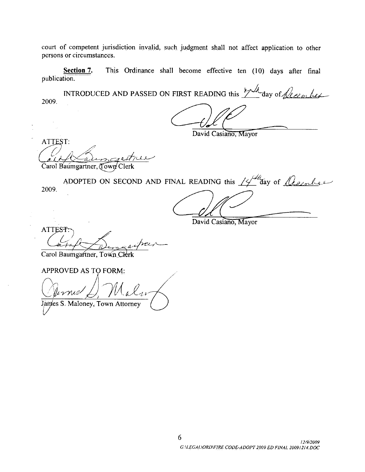court of competent jurisdiction invalid, such judgment shall not affect application to other persons or circumstances

Section 7. This Ordinance shall become effective ten (10) days after final publication.

INTRODUCED AND PASSED ON FIRST READING this  $\frac{\mu A}{2}$  day of *December* 2009.

David Casiano, Mayor

ATTEST: <u>ai</u> Carol Baumgartner, Town Clerk

ADOPTED ON SECOND AND FINAL READING this  $14^{\frac{14}{4}}$  day of  $\sqrt{\ell_{\ell_{\ell}}}\ell_{\ell_{\ell}}$ 2009

David Casiano, Mayor

ATT  $\begin{array}{c}\n\text{STr}\n\hline\n\end{array}$ ATTEST:<br>Carol Baumgartner, Town Clerk u

APPROVED AS FORM  $\bigcup_{\mathbf{r}}$ S. Maloney, Town Attorney al 1.

6 |<br>| 12/9/2009<br>| GALEGAL\ORD\FIRE CODE-ADOPT 2009 ED FINAL 20091214.DOC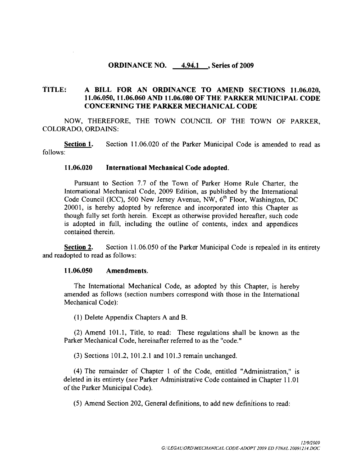#### ORDINANCE NO. 4.94.1 Series of 2009

# TITLE: A BILL FOR AN ORDINANCE TO AMEND SECTIONS 11.06.020,<br>11.06.050, 11.06.060 AND 11.06.080 OF THE PARKER MUNICIPAL CODE A BILL FOR AN ORDINANCE TO AMEND SECTIONS 11.06.020<br>11.06.050, 11.06.060 AND 11.06.080 OF THE PARKER MUNICIPAL CODE<br>CONCERNING THE PARKER MECHANICAL CODE CONCERNING THE PARKER MECHANICAL CODE

NOW, THEREFORE, THE TOWN COUNCIL OF THE TOWN OF PARKER. COLORADO, ORDAINS:

Section 1. Section 11.06.020 of the Parker Municipal Code is amended to read as follows

#### 11.06.020 International Mechanical Code adopted.

Pursuant to Section 7.7 of the Town of Parker Home Rule Charter, the International Mechanical Code, 2009 Edition, as published by the International Code Council (ICC), 500 New Jersey Avenue, NW,  $6<sup>th</sup>$  Floor, Washington, DC 20001, is hereby adopted by reference and incorporated into this Chapter as though fully set forth herein. Except as otherwise provided hereafter, such code is adopted in full, including the outline of contents, index and appendices contained therein

**Section 2.** Section 11.06.050 of the Parker Municipal Code is repealed in its entirety and readopted to read as follows:<br>11.06.050 Amendments

The International Mechanical Code, as adopted by this Chapter, is hereby amended as follows (section numbers correspond with those in the International Mechanical Code):

1 Delete Appendix Chapters <sup>A</sup> and <sup>B</sup>

(2) Amend 101.1, Title, to read: These regulations shall be known as the ker Mechanical Code, hereinafter referred to as the "code."<br>(3) Sections 101.2, 101.2.1 and 101.3 remain unchanged. Parker Mechanical Code, hereinafter referred to as the "code."

(4) The remainder of Chapter 1 of the Code, entitled "Administration," is deleted in its entirety (see Parker Administrative Code contained in Chapter 11.01 of the Parker Municipal Code

5 Amend Section <sup>202</sup> General definitions to add new definitions to read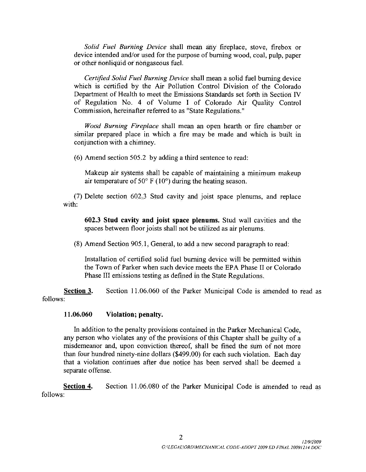Solid Fuel Burning Device shall mean any fireplace, stove, firebox or device intended and/or used for the purpose of burning wood, coal, pulp, paper or other noriliquid or nongaseous fuel

Certified Solid Fuel Burning Device shall mean a solid fuel burning device which is certified by the Air Pollution Control Division of the Colorado Department of Health to meet the Emissions Standards set forth in Section IV of Regulation No <sup>4</sup> of Volume I of Colorado Air Quality Control Commission, hereinafter referred to as "State Regulations."

Wood Burning Fireplace shall mean an open hearth or fire chamber or similar prepared place in which a fire may be made and which is built in conjunction with a chimney

 $(6)$  Amend section 505.2 by adding a third sentence to read:

Makeup air systems shall be capable of maintaining a minimum makeup air temperature of  $50^{\circ}$  F (10°) during the heating season.

<sup>7</sup> Delete section <sup>602</sup> 3 Stud cavity and joist space plenums and replace with:

<sup>602</sup> 3 Stud cavity and joist space plenums Stud wall cavities and the spaces between floor joists shall not be utilized as air plenums.

 $(8)$  Amend Section 905.1, General, to add a new second paragraph to read:

Installation of certified solid fuel burning device will be permitted within the Town of Parker when such device meets the EPA Phase II or Colorado Phase III emissions testing as defined in the State Regulations.

Section 3. Section 11.06.060 of the Parker Municipal Code is amended to read as follows

#### 11.06.060 Violation; penalty.

In addition to the penalty provisions contained in the Parker Mechanical Code any person who violates any of the provisions of this Chapter shall be guilty of a any person who violates any of the provisions of this enapter shall be gainty of a<br>misdemeanor and, upon conviction thereof, shall be fined the sum of not more<br>than four hundred ninety-nine dollars (\$499.00) for each such that a violation continues after due notice has been served shall be deemed a separate offense

Section 4. Section 11.06.080 of the Parker Municipal Code is amended to read as follows of the Parker Municipal<br>2<br>G.ALEGAL\ORD\MECHANICAL COL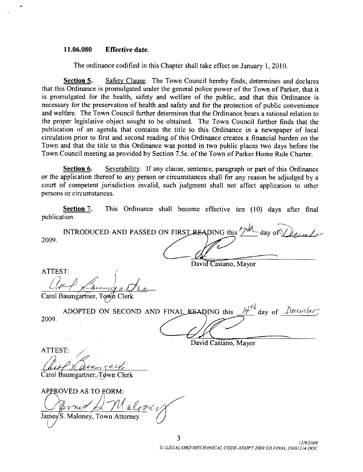#### 11.06.080 Effective date.

The ordinance codified in this Chapter shall take effect on January 1, 2010.

Section 5. Safety Clause. The Town Council hereby finds, determines and declares that this Ordinance is promulgated under the general police power of the Town of Parker, that it is promulgated for the health, safety and welfare of the public, and that this Ordinance is necessary for the preservation of health and safety and for the protection of public convenience and welfare. The Town Council further determines that the Ordinance bears a rational relation to the proper legislative object sought to be obtained. The Town Council further finds that the publication of an agenda that contains the title to this Ordinance in a newspaper of local circulation prior to first and second reading of this Ordinance creates a financial burden on the Town and that the title to this Ordinance was posted in two public places two days before the circulation prior to first and second reading of this Ordinance creates a financial burden on the<br>Town and that the title to this Ordinance was posted in two public places two days before the<br>Town Council meeting as provid

Section 6. Severability. If any clause, sentence, paragraph or part of this Ordinance or the application thereof to any person or circumstances shall for any reason be adjudged by <sup>a</sup> court of competent jurisdiction invalid, such judgment shall not affect application to other persons or circumstances

Section 7. This Ordinance shall become effective ten (10) days after final publication

2009 INTRODUCED AND PASSED ON FIRST READING this  $\bigtriangledown \mathcal{H}$ 

ATTEST: TEST:<br>
Catedary Council<br>
rol Baumgartner, To<br>
ADOPTED ON<br>
09.<br>
TEST:<br>
Cute X Cute Sales<br>
rol Baumgartner, To<br>
PROVED AS TO F

|         | David Casiano, Mayor                                                |
|---------|---------------------------------------------------------------------|
| ATTEST: |                                                                     |
|         | Loumoral                                                            |
|         | Carol Baumgartner, Town Clerk                                       |
|         | ADOPTED ON SECOND AND FINAL READING this $14^{th}$ day of December, |
| 2009.   |                                                                     |

David Casiano, Mayor

David Casiano, Mayor

ATTEST  $\mathcal{L}$ <br>Baumgartner, Town Clerk<br>QUED + 2 TO FODLE

Carol

Carol Baumgartner, Town Cl<br>APPROVED AS TO FORM: a Carol Bau<br>Carol Bau<br>APPROV<br>James S. James/S. Maloney, Town Attorney S<br>3<br>G:\LEGAL\ORD\MECHANICAL C

3 2/9/2009<br>3<br>G:\LEGAL\ORD\MECHANICAL CODE-ADOPT 2009 ED FINAL 20091214.DOC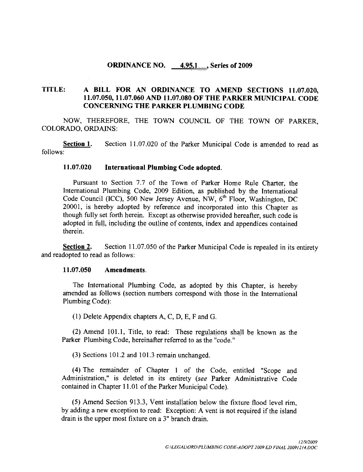#### **ORDINANCE NO.** 4.95.1..., Series of 2009

# TITLE: A BILL FOR AN ORDINANCE TO AMEND SECTIONS 11.07.020,<br>11.07.050, 11.07.060 AND 11.07.080 OF THE PARKER MUNICIPAL CODE **A BILL FOR AN ORDINANCE TO AMEND SECTIONS 11.07.020,<br>11.07.050, 11.07.060 AND 11.07.080 OF THE PARKER MUNICIPAL CODE**<br>CONCERNING THE PARKER PLUMBING CODE CONCERNING THE PARKER PLUMBING CODE

NOW, THEREFORE, THE TOWN COUNCIL OF THE TOWN OF PARKER, COLORADO, ORDAINS:

Section 1. Section 11.07.020 of the Parker Municipal Code is amended to read as follows

#### 11.07.020 International Plumbing Code adopted.

Pursuant to Section 7.7 of the Town of Parker Home Rule Charter, the International Plumbing Code, 2009 Edition, as published by the International Code Council (ICC), 500 New Jersey Avenue, NW,  $6<sup>th</sup>$  Floor, Washington, DC 20001, is hereby adopted by reference and incorporated into this Chapter as though fully set forth herein. Except as otherwise provided hereafter, such code is adopted in full, including the outline of contents, index and appendices contained therein

Section 2. Section 11.07.050 of the Parker Municipal Code is repealed in its entirety and readopted to read as follows:<br>11.07.050 Amendments

The International Plumbing Code, as adopted by this Chapter, is hereby amended as follows (section numbers correspond with those in the International Plumbing Code

(1) Delete Appendix chapters  $A, C, D, E, F$  and  $G$ .

 $(2)$  Amend 101.1, Title, to read: These regulations shall be known as the Parker Plumbing Code, hereinafter referred to as the "code."<br>(3) Sections 101.2 and 101.3 remain unchanged.

(4) The remainder of Chapter 1 of the Code, entitled "Scope and Administration," is deleted in its entirety (see Parker Administrative Code contained in Chapter 11.01 of the Parker Municipal Code).

 $(5)$  Amend Section 913.3, Vent installation below the fixture flood level rim. by adding a new exception to read: Exception: A vent is not required if the island drain is the upper most fixture on a  $3$ " branch drain.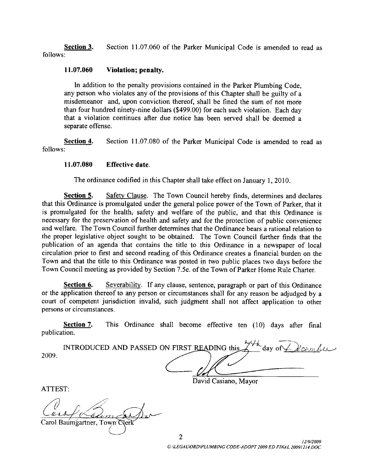**Section 3.** Section 11.07.060 of the Parker Municipal Code is amended to read as follows

#### $11.07.060$  Violation; penalty.

In addition to the penalty provisions contained in the Parker Plumbing Code any person who violates any of the provisions of this Chapter shall be guilty of a misdemeanor and, upon conviction thereof, shall be fined the sum of not more<br>than four hundred ninety-nine dollars (\$499.00) for each such violation. Each day<br>that a violation continues after due notice has been served sha that a violation continues after due notice has been served shall be deemed a separate offense

Section 4. Section 11.07.080 of the Parker Municipal Code is amended to read as follows

#### $11.07.080$  Effective date.

The ordinance codified in this Chapter shall take effect on January 1, 2010.

Section 5. Safety Clause. The Town Council hereby finds, determines and declares that this Ordinance is promulgated under the general police power of the Town of Parker, that it is promulgated for the health, safety and welfare of the public, and that this Ordinance is necessary for the preservation of health and safety and for the protection of public convenience and welfare. The Town Council further determines that the Ordinance bears a rational relation to the proper legislative object sought to be obtained. The Town Council further finds that the publication of an agenda that contains the title to this Ordinance in a newspaper of local circulation prior to first and second reading of this Ordinance creates a financial burden on the Town and that the title to this Ordinance was posted in two public places two days before the Town Council meeting as provided by Section 7.5e. of the Town of Parker Home Rule Charter. **Section 5.** Safety Clause. The Town Council hereby finds, determines and declares<br>
Ordinance is promulgated once the peneral police power of the Town of Parker, that it<br>
ulgated for the health, safety and welfare of the

Section 6. Severability. If any clause, sentence, paragraph or part of this Ordinance or the application thereof to any person or circumstances shall for any reason be adjudged by <sup>a</sup> court of competent jurisdiction invalid, such judgment shall not affect application to other persons or circumstances.

Section 7. This Ordinance shall become effective ten (10) days after final publication

 $2009.$ 

ATTEST

Carol Baumgartner, Town  $\mathfrak C$ 

David Casiano, Mayor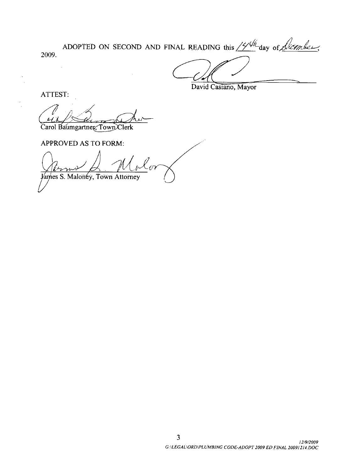2009 ADOPTED ON SECOND AND FINAL READING this  $/2/44$  day of *Licember*.

David Casiano, Mayor

ATTEST:

Carol Baumgartner, Town Clerk

APPROVED AS TO FORM

of Baumgartney, Town Clerk<br>PROVED AS TO FORM:<br>(Crywyser Maloney, Town Attorney)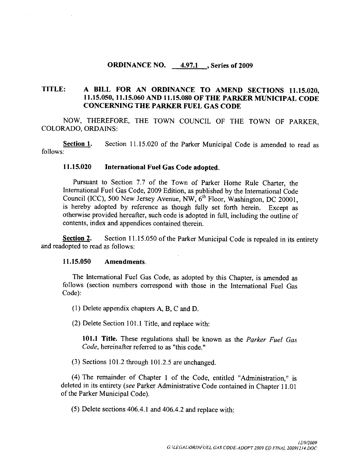#### ORDINANCE NO. 4.97.1 , Series of 2009

# TITLE: A BILL FOR AN ORDINANCE TO AMEND SECTIONS 11.15.020,<br>11.15.050, 11.15.060 AND 11.15.080 OF THE PARKER MUNICIPAL CODE A BILL FOR AN ORDINANCE TO AMEND SECTIONS 11.15.020,<br>11.15.050, 11.15.060 AND 11.15.080 OF THE PARKER MUNICIPAL CODE<br>CONCERNING THE PARKER FUEL GAS CODE CONCERNING THE PARKER FUEL GAS CODE

NOW, THEREFORE, THE TOWN COUNCIL OF THE TOWN OF PARKER. COLORADO, ORDAINS:

Section 1. Section 11.15.020 of the Parker Municipal Code is amended to read as follows

#### 115020 International Fuel Gas Code adopted

Pursuant to Section 7.7 of the Town of Parker Home Rule Charter, the International Fuel Gas Code, 2009 Edition, as published by the International Code Council (ICC), 500 New Jersey Avenue, NW,  $6<sup>th</sup>$  Floor, Washington, DC 20001. is hereby adopted by reference as though fully set forth herein. Except as otherwise provided hereafter, such code is adopted in full, including the outline of contents, index and appendices contained therein.

Section 2. Section 11.15.050 of the Parker Municipal Code is repealed in its entirety and readopted to read as follows:<br>11.15.050 Amendments

The International Fuel Gas Code, as adopted by this Chapter, is amended as follows (section numbers correspond with those in the International Fuel Gas Code):

- $(1)$  Delete appendix chapters A, B, C and D.
- $(2)$  Delete Section 101.1 Title, and replace with:

101.1 Title. These regulations shall be known as the *Parker Fuel Gas* Code, hereinafter referred to as "this code."

 $(3)$  Sections 101.2 through 101.2.5 are unchanged.

(4) The remainder of Chapter 1 of the Code, entitled "Administration," is deleted in its entirety (see Parker Administrative Code contained in Chapter 11.01<br>of the Parker Municipal Code).<br>(5) Delete sections 406.4.1 and 406.4.2 and replace with: of the Parker Municipal Code).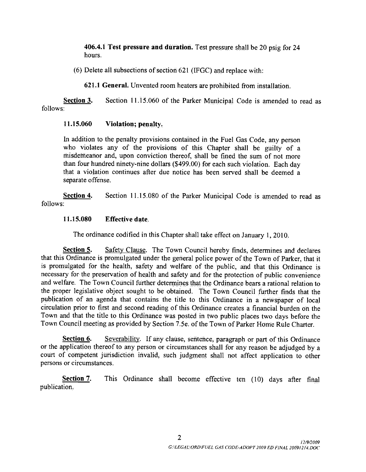406.4.1 Test pressure and duration. Test pressure shall be 20 psig for 24 hours

 $(6)$  Delete all subsections of section 621 (IFGC) and replace with:

621.1 General. Unvented room heaters are prohibited from installation.

Section  $3$ . Section 11.15.060 of the Parker Municipal Code is amended to read as follows

#### $11.15.060$  Violation; penalty.

In addition to the penalty provisions contained in the Fuel Gas Code any person who violates any of the provisions of this Chapter shall be guilty of <sup>a</sup> misdemeanor and, upon conviction thereof, shall be fined the sum of not more than four hundred ninety-nine dollars (\$499.00) for each such violation. Each day that a violation continues after due notice has been served shall be deemed a separate offense

Section 4. Section 11.15.080 of the Parker Municipal Code is amended to read as follows

#### 115080 Effective date

The ordinance codified in this Chapter shall take effect on January 1, 2010.

**Section 5.** Safety Clause. The Town Council hereby finds, determines and declares that this Ordinance is promulgated under the general police power of the Town of Parker, that it is promulgated for the health, safety and welfare of the public, and that this Ordinance is necessary for the preservation of health and safety and for the protection of public convenience and welfare. The Town Council further determines that the Ordinance bears a rational relation to the proper legislative object sought to be obtained. The Town Council further finds that the publication of an agenda that contains the title to this Ordinance in a newspaper of local circulation prior to first and second reading of this Ordinance creates a financial burden on the Town and that the title to this Ordinance was posted in two public places two days before the Circulation prior to first and second reading of this Ordinance creates a financial burden on t<br>Town and that the title to this Ordinance was posted in two public places two days before t<br>Town Council meeting as provided b

Section 6. Severability. If any clause, sentence, paragraph or part of this Ordinance or the application thereof to any person or circumstances shall for any reason be adjudged by a court of competent jurisdiction invalid, such judgment shall not affect application to other persons or circumstances.

Section 7. This Ordinance shall become effective ten (10) days after final publication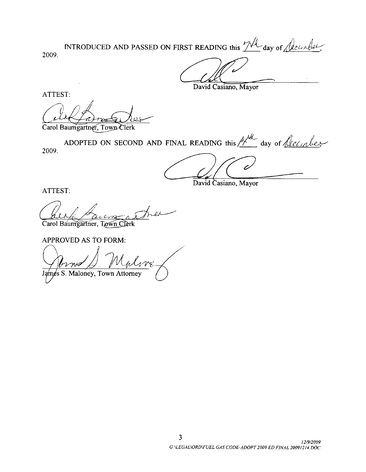INTRODUCED AND PASSED ON FIRST READING this  $\mathcal{U}^{\mathcal{U}}$  day of  $\mathcal{U}^{\mathcal{U}^{\mathcal{U}}\mathcal{U}^{\mathcal{U}^{\mathcal{U}}}}$ 2009

David Casiano, Mayor

ATTEST

c ATTEST:<br>Carol Baumgartner, Town Clerk

ADOPTED ON SECOND AND FINAL READING this  $\frac{1}{4}$  day of  $\sqrt{\ell c \ell_{in}}$ 2009

David Casiano, Mayor

ATTEST

1  $\alpha$ 

Carol Baumgartner, Town Clerk

APPROVED AS TO FORM:

YyW own Clerk<br>
Sound Clerk<br>
Maria Sound AND<br>
Cown Clerk<br>
FORM:<br>
Maria Attorney

James S. Maloney, Town Attorney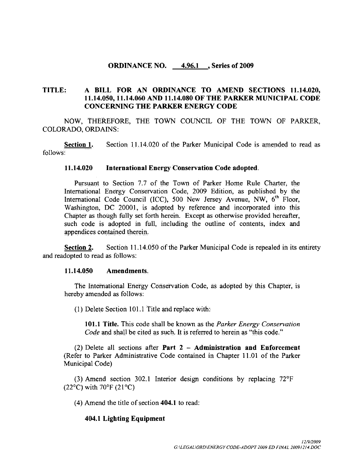#### ORDINANCE NO. 4.96.1 , Series of 2009

# TITLE: A BILL FOR AN ORDINANCE TO AMEND SECTIONS 11.14.020, A BILL FOR AN ORDINANCE TO AMEND SECTIONS 11.14.020<br>11.14.050, 11.14.060 AND 11.14.080 OF THE PARKER MUNICIPAL CODE<br>CONCERNING THE PARKER ENERGY CODE CONCERNING THE PARKER ENERGY CODE

NOW, THEREFORE, THE TOWN COUNCIL OF THE TOWN OF PARKER. COLORADO, ORDAINS: NOW, THEREFORE, THE TOWN COUNCIL OF THE TOWN OF PARKER,<br>RADO, ORDAINS:<br>Section 1. Section 11,14.020 of the Parker Municipal Code is amended to read as

follows

#### 114020 International Energy Conservation Code adopted

Pursuant to Section 7.7 of the Town of Parker Home Rule Charter, the International Energy Conservation Code, 2009 Edition, as published by the International Code Council (ICC), 500 New Jersey Avenue, NW,  $6<sup>th</sup>$  Floor, Washington, DC 20001, is adopted by reference and incorporated into this Chapter as though fully set forth herein. Except as otherwise provided hereafter, such code is adopted in full, including the outline of contents, index and appendices contained therein

**Section 2.** Section 11.14.050 of the Parker Municipal Code is repealed in its entirety and readopted to read as follows:<br>11.14.050 Amendments.

The International Energy Conservation Code, as adopted by this Chapter, is hereby amended as follows

 $(1)$  Delete Section 101.1 Title and replace with:

101.1 Title. This code shall be known as the Parker Energy Conservation Code and shall be cited as such. It is referred to herein as "this code."

 $(2)$  Delete all sections after **Part 2 - Administration and Enforcement** (Refer to Parker Administrative Code contained in Chapter 11.01 of the Parker Municipal Code

 $(3)$  Amend section 302.1 Interior design conditions by replacing 72°F  $(22^{\circ}C)$  with 70°F  $(21^{\circ}C)$ r design conditions by replaced to read:<br>1 to read:<br>G:\LEGAL\ORD\ENERGY CODE-ADOPT 200

 $(4)$  Amend the title of section 404.1 to read:

#### 404.1 Lighting Equipment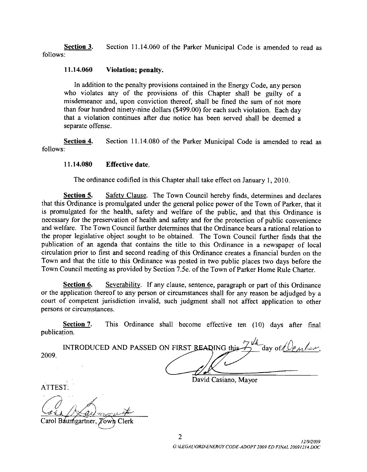Section 3. Section 11.14.060 of the Parker Municipal Code is amended to read as follows

#### $11.14.060$  Violation; penalty.

In addition to the penalty provisions contained in the Energy Code, any person who violates any of the provisions of this Chapter shall be guilty of <sup>a</sup> misdemeanor and, upon conviction thereof, shall be fined the sum of not more than four hundred ninety-nine dollars  $($ \$499.00) for each such violation. Each day that a violation continues after due notice has been served shall be deemed a separate offense

Section 4. Section 11.14.080 of the Parker Municipal Code is amended to read as follows

#### 11.14.080 Effective date.

The ordinance codified in this Chapter shall take effect on January 1, 2010.

Section 5. Safety Clause. The Town Council hereby finds, determines and declares that this Ordinance is promulgated under the general police power of the Town of Parker, that it is promulgated for the health, safety and welfare of the public, and that this Ordinance is necessary for the preservation of health and safety and for the protection of public convenience and welfare. The Town Council further determines that the Ordinance bears a rational relation to the proper legislative object sought to be obtained. The Town Council further finds that the publication of an agenda that contains the title to this Ordinance in <sup>a</sup> newspaper of local circulation prior to first and second reading of this Ordinance creates a financial burden on the Town and that the title to this Ordinance was posted in two public places two days before the Circulation prior to first and second reading of this Ordinance creates a financial burden on the<br>Town and that the title to this Ordinance was posted in two public places two days before the<br>Town Council meeting as provid In columerate counted in this chapter sitant accete on January 1, 2010.<br>
Section 5. Safety Clause. The Town Council hereby finds, determines and declares<br>
Sordinance is promulgated under the general police power of the To

Section 6. Severability. If any clause, sentence, paragraph or part of this Ordinance or the application thereof to any person or circumstances shall for any reason be adjudged by <sup>a</sup> court of competent jurisdiction invalid, such judgment shall not affect application to other persons or circumstances.

Section 7. This Ordinance shall become effective ten (10) days after final publication

| 2009 | INTRODUCED AND PASSED ON FIRST READING this $\overrightarrow{A}$<br>day of the me |
|------|-----------------------------------------------------------------------------------|
|      |                                                                                   |

David Casiano, Mayor

ATTEST

Carol Baumgartner, Town Clerk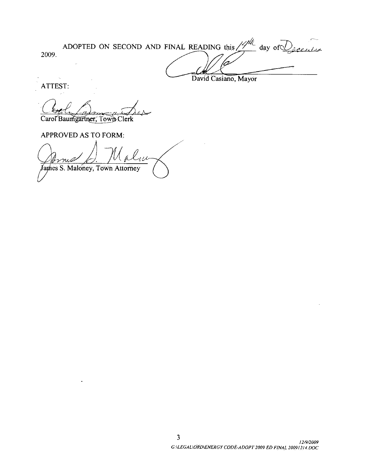ADOPTED ON SECOND AND FINAL READING this  $\frac{1}{4}$ day of  $\mathcal{Q}_{\text{geodes}}$ 2009 David Casiano, Mayor

ATTEST

Carol Baumgartner, Town Clerk

APPROVED AS TO FORM:

I<sub>III</sub> Malue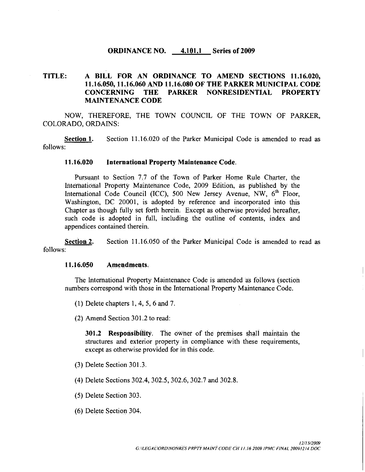#### ORDINANCE NO.  $4.101.1$  Series of 2009

#### TITLE: A BILL FOR AN ORDINANCE TO AMEND SECTIONS 11.16.020, 11.16.050, 11.16.060 AND 11.16.080 OF THE PARKER MUNICIPAL CODE<br>CONCERNING THE PARKER NONRESIDENTIAL PROPERTY PARKER NONRESIDENTIAL MAINTENANCE CODE

NOW, THEREFORE, THE TOWN COUNCIL OF THE TOWN OF PARKER, COLORADO, ORDAINS:

Section 1. Section 11.16.020 of the Parker Municipal Code is amended to read as follows

#### 116020 International Property Maintenance Code

Pursuant to Section 7.7 of the Town of Parker Home Rule Charter, the International Property Maintenance Code 2009 Edition as published by the International Code Council (ICC), 500 New Jersey Avenue, NW,  $6<sup>th</sup>$  Floor, Washington, DC 20001, is adopted by reference and incorporated into this Chapter as though fully set forth herein. Except as otherwise provided hereafter, such code is adopted in full, including the outline of contents, index and appendices contained therein

Section 2. Section 11.16.050 of the Parker Municipal Code is amended to read as follows

#### 11.16.050 **Amendments**.

The International Property Maintenance Code is amended as follows (section numbers correspond with those in the International Property Maintenance Code

- (1) Delete chapters  $1, 4, 5, 6$  and  $7$ .<br>(2) Amend Section  $301.2$  to read:
- 

(2) Amend Section 301.2 to read:<br> $301.2$  Responsibility. The owner of the premises shall maintain the structures and exterior property in compliance with these requirements except as otherwise provided for in this code

- 3 Delete Section 301
- (4) Delete Sections 302.4, 302.5, 302.6, 302.7 and 302.8.
- 5 Delete Section <sup>303</sup>
- (6) Delete Section 304.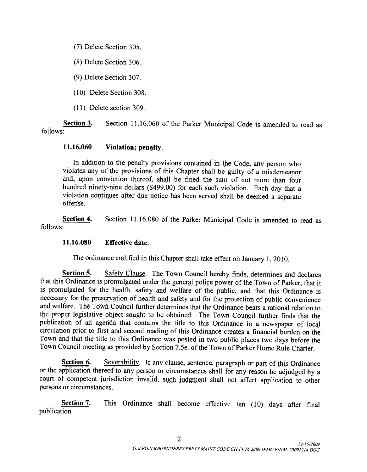7 Delete Section <sup>305</sup>

(8) Delete Section 306.

(9) Delete Section 307.

(10) Delete Section 308.

 $(11)$  Delete section 309.

Section 3. Section 11.16.060 of the Parker Municipal Code is amended to read as follows

#### $11.16.060$  Violation; penalty.

In addition to the penalty provisions contained in the Code, any person who violates any of the provisions of this Chapter shall be guilty of a misdemeanor and, upon conviction thereof, shall be fined the sum of not more than four hundred ninety-nine dollars (\$499.00) for each such violation. Each day that a violation continues after due notice has been served shall be deemed a separate offense

Section 4. Section 11.16.080 of the Parker Municipal Code is amended to read as follows

#### 11.16.080 Effective date.

The ordinance codified in this Chapter shall take effect on January 1, 2010.

Section 5. Safety Clause. The Town Council hereby finds, determines and declares that this Ordinance is promulgated under the general police power of the Town of Parker, that it is promulgated for the health, safety and welfare of the public, and that this Ordinance is necessary for the preservation of health and safety and for the protection of public convenience and welfare. The Town Council further determines that the Ordinance bears a rational relation to the proper legislative object sought to be obtained. The Town Council further finds that the publication of an agenda that contains the title to this Ordinance in a newspaper of local circulation prior to first and second reading of this Ordinance creates a financial burden on the Town and that the title to this Ordinance was posted in two public places two days before the Town Council meeting as provided by Section 7.5e. of the Town of Parker Home Rule Charter.

Section 6. Severability. If any clause, sentence, paragraph or part of this Ordinance or the application thereof to any person or circumstances shall for any reason be adjudged by <sup>a</sup> court of competent jurisdiction invalid, such judgment shall not affect application to other persons or circumstances

Section 7. This Ordinance shall become effective ten (10) days after final publication